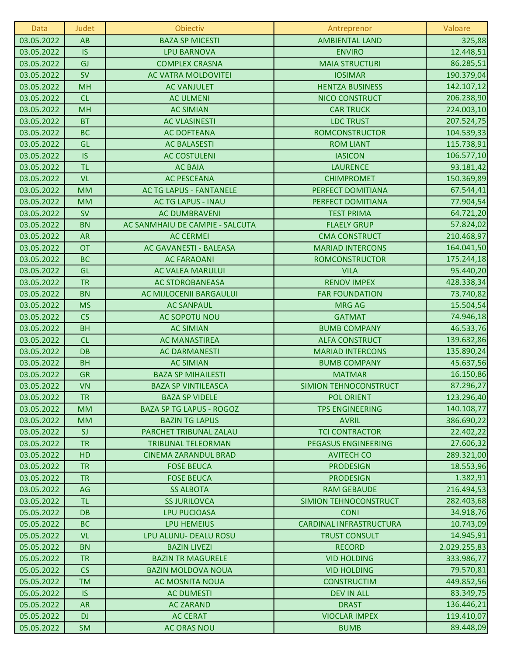| Data       | Judet     | Obiectiv                        | Antreprenor                  | Valoare      |
|------------|-----------|---------------------------------|------------------------------|--------------|
| 03.05.2022 | AB        | <b>BAZA SP MICESTI</b>          | <b>AMBIENTAL LAND</b>        | 325,88       |
| 03.05.2022 | <b>IS</b> | <b>LPU BARNOVA</b>              | <b>ENVIRO</b>                | 12.448,51    |
| 03.05.2022 | GJ        | <b>COMPLEX CRASNA</b>           | <b>MAIA STRUCTURI</b>        | 86.285,51    |
| 03.05.2022 | <b>SV</b> | AC VATRA MOLDOVITEI             | <b>IOSIMAR</b>               | 190.379,04   |
| 03.05.2022 | <b>MH</b> | <b>AC VANJULET</b>              | <b>HENTZA BUSINESS</b>       | 142.107,12   |
| 03.05.2022 | CL        | <b>AC ULMENI</b>                | <b>NICO CONSTRUCT</b>        | 206.238,90   |
| 03.05.2022 | <b>MH</b> | <b>AC SIMIAN</b>                | <b>CAR TRUCK</b>             | 224.003,10   |
| 03.05.2022 | <b>BT</b> | <b>AC VLASINESTI</b>            | <b>LDC TRUST</b>             | 207.524,75   |
| 03.05.2022 | <b>BC</b> | <b>AC DOFTEANA</b>              | <b>ROMCONSTRUCTOR</b>        | 104.539,33   |
| 03.05.2022 | GL        | <b>AC BALASESTI</b>             | <b>ROM LIANT</b>             | 115.738,91   |
| 03.05.2022 | <b>IS</b> | <b>AC COSTULENI</b>             | <b>IASICON</b>               | 106.577,10   |
| 03.05.2022 | <b>TL</b> | <b>AC BAIA</b>                  | <b>LAURENCE</b>              | 93.181,42    |
| 03.05.2022 | <b>VL</b> | <b>AC PESCEANA</b>              | <b>CHIMPROMET</b>            | 150.369,89   |
| 03.05.2022 | <b>MM</b> | <b>AC TG LAPUS - FANTANELE</b>  | PERFECT DOMITIANA            | 67.544,41    |
| 03.05.2022 | <b>MM</b> | <b>AC TG LAPUS - INAU</b>       | PERFECT DOMITIANA            | 77.904,54    |
| 03.05.2022 | <b>SV</b> | <b>AC DUMBRAVENI</b>            | <b>TEST PRIMA</b>            | 64.721,20    |
| 03.05.2022 | <b>BN</b> | AC SANMHAIU DE CAMPIE - SALCUTA | <b>FLAELY GRUP</b>           | 57.824,02    |
| 03.05.2022 | <b>AR</b> | <b>AC CERMEI</b>                | <b>CMA CONSTRUCT</b>         | 210.468,97   |
| 03.05.2022 | <b>OT</b> | AC GAVANESTI - BALEASA          | <b>MARIAD INTERCONS</b>      | 164.041,50   |
| 03.05.2022 | <b>BC</b> | <b>AC FARAOANI</b>              | <b>ROMCONSTRUCTOR</b>        | 175.244,18   |
| 03.05.2022 | GL        | <b>AC VALEA MARULUI</b>         | <b>VILA</b>                  | 95.440,20    |
| 03.05.2022 | <b>TR</b> | <b>AC STOROBANEASA</b>          | <b>RENOV IMPEX</b>           | 428.338,34   |
| 03.05.2022 | <b>BN</b> | AC MIJLOCENII BARGAULUI         | <b>FAR FOUNDATION</b>        | 73.740,82    |
| 03.05.2022 | <b>MS</b> | <b>AC SANPAUL</b>               | <b>MRG AG</b>                | 15.504,54    |
| 03.05.2022 | CS        | AC SOPOTU NOU                   | <b>GATMAT</b>                | 74.946,18    |
| 03.05.2022 | <b>BH</b> | <b>AC SIMIAN</b>                | <b>BUMB COMPANY</b>          | 46.533,76    |
| 03.05.2022 | CL        | <b>AC MANASTIREA</b>            | <b>ALFA CONSTRUCT</b>        | 139.632,86   |
| 03.05.2022 | <b>DB</b> | <b>AC DARMANESTI</b>            | <b>MARIAD INTERCONS</b>      | 135.890,24   |
| 03.05.2022 | <b>BH</b> | <b>AC SIMIAN</b>                | <b>BUMB COMPANY</b>          | 45.637,56    |
| 03.05.2022 | <b>GR</b> | <b>BAZA SP MIHAILESTI</b>       | <b>MATMAR</b>                | 16.150,86    |
| 03.05.2022 | <b>VN</b> | <b>BAZA SP VINTILEASCA</b>      | <b>SIMION TEHNOCONSTRUCT</b> | 87.296,27    |
| 03.05.2022 | <b>TR</b> | <b>BAZA SP VIDELE</b>           | <b>POL ORIENT</b>            | 123.296,40   |
| 03.05.2022 | <b>MM</b> | <b>BAZA SP TG LAPUS - ROGOZ</b> | <b>TPS ENGINEERING</b>       | 140.108,77   |
| 03.05.2022 | <b>MM</b> | <b>BAZIN TG LAPUS</b>           | <b>AVRIL</b>                 | 386.690,22   |
| 03.05.2022 | <b>SJ</b> | PARCHET TRIBUNAL ZALAU          | <b>TCI CONTRACTOR</b>        | 22.402,22    |
| 03.05.2022 | <b>TR</b> | <b>TRIBUNAL TELEORMAN</b>       | <b>PEGASUS ENGINEERING</b>   | 27.606,32    |
| 03.05.2022 | HD        | <b>CINEMA ZARANDUL BRAD</b>     | <b>AVITECH CO</b>            | 289.321,00   |
| 03.05.2022 | <b>TR</b> | <b>FOSE BEUCA</b>               | <b>PRODESIGN</b>             | 18.553,96    |
| 03.05.2022 | <b>TR</b> | <b>FOSE BEUCA</b>               | <b>PRODESIGN</b>             | 1.382,91     |
| 03.05.2022 | AG        | <b>SS ALBOTA</b>                | <b>RAM GEBAUDE</b>           | 216.494,53   |
| 03.05.2022 | <b>TL</b> | <b>SS JURILOVCA</b>             | SIMION TEHNOCONSTRUCT        | 282.403,68   |
| 05.05.2022 | <b>DB</b> | <b>LPU PUCIOASA</b>             | <b>CONI</b>                  | 34.918,76    |
| 05.05.2022 | <b>BC</b> | LPU HEMEIUS                     | CARDINAL INFRASTRUCTURA      | 10.743,09    |
| 05.05.2022 | <b>VL</b> | LPU ALUNU- DEALU ROSU           | <b>TRUST CONSULT</b>         | 14.945,91    |
| 05.05.2022 | <b>BN</b> | <b>BAZIN LIVEZI</b>             | <b>RECORD</b>                | 2.029.255,83 |
| 05.05.2022 | <b>TR</b> | <b>BAZIN TR MAGURELE</b>        | <b>VID HOLDING</b>           | 333.986,77   |
| 05.05.2022 | CS        | <b>BAZIN MOLDOVA NOUA</b>       | <b>VID HOLDING</b>           | 79.570,81    |
| 05.05.2022 | <b>TM</b> | AC MOSNITA NOUA                 | <b>CONSTRUCTIM</b>           | 449.852,56   |
| 05.05.2022 | <b>IS</b> | <b>AC DUMESTI</b>               | <b>DEV IN ALL</b>            | 83.349,75    |
| 05.05.2022 | <b>AR</b> | <b>AC ZARAND</b>                | <b>DRAST</b>                 | 136.446,21   |
| 05.05.2022 | <b>DJ</b> | <b>AC CERAT</b>                 | <b>VIOCLAR IMPEX</b>         | 119.410,07   |
| 05.05.2022 | <b>SM</b> | <b>AC ORAS NOU</b>              | <b>BUMB</b>                  | 89.448,09    |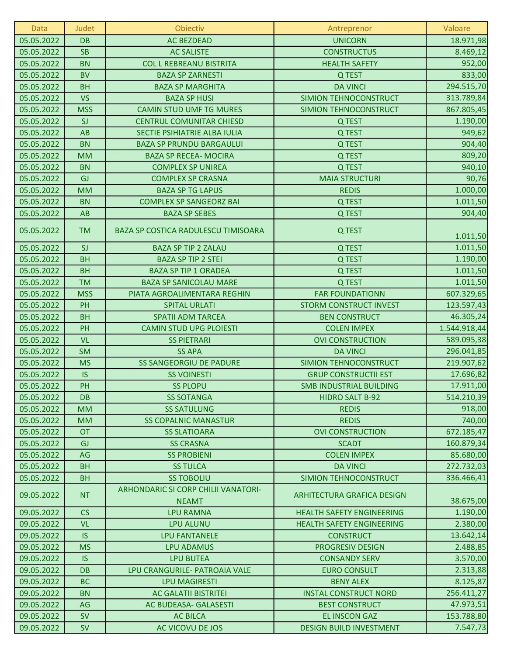| <b>DB</b><br><b>AC BEZDEAD</b><br>05.05.2022<br><b>UNICORN</b><br>18.971,98<br><b>SB</b><br>05.05.2022<br><b>AC SALISTE</b><br><b>CONSTRUCTUS</b><br>8.469,12<br><b>BN</b><br>05.05.2022<br><b>COL L REBREANU BISTRITA</b><br><b>HEALTH SAFETY</b><br>952,00<br>833,00<br><b>BV</b><br>05.05.2022<br><b>BAZA SP ZARNESTI</b><br>Q TEST<br>294.515,70<br>05.05.2022<br><b>BH</b><br><b>BAZA SP MARGHITA</b><br><b>DA VINCI</b><br><b>VS</b><br>313.789,84<br>05.05.2022<br>SIMION TEHNOCONSTRUCT<br><b>BAZA SP HUSI</b><br><b>MSS</b><br>867.805,45<br>05.05.2022<br><b>CAMIN STUD UMF TG MURES</b><br>SIMION TEHNOCONSTRUCT<br>1.190,00<br>05.05.2022<br>SI<br><b>CENTRUL COMUNITAR CHIESD</b><br>Q TEST<br>AB<br>949,62<br>05.05.2022<br>SECTIE PSIHIATRIE ALBA IULIA<br>Q TEST<br><b>BN</b><br>05.05.2022<br><b>BAZA SP PRUNDU BARGAULUI</b><br>904,40<br>Q TEST<br><b>MM</b><br>809,20<br>05.05.2022<br><b>BAZA SP RECEA- MOCIRA</b><br>Q TEST<br><b>BN</b><br>940,10<br>05.05.2022<br><b>COMPLEX SP UNIREA</b><br>Q TEST<br>90,76<br>GJ<br>05.05.2022<br><b>COMPLEX SP CRASNA</b><br><b>MAIA STRUCTURI</b><br>1.000,00<br>05.05.2022<br><b>MM</b><br><b>BAZA SP TG LAPUS</b><br><b>REDIS</b><br>1.011,50<br><b>BN</b><br>05.05.2022<br><b>COMPLEX SP SANGEORZ BAI</b><br>Q TEST<br>904,40<br>05.05.2022<br>AB<br><b>BAZA SP SEBES</b><br>Q TEST<br>05.05.2022<br><b>TM</b><br><b>BAZA SP COSTICA RADULESCU TIMISOARA</b><br>Q TEST<br>1.011,50<br>SI<br>Q TEST<br>1.011,50<br>05.05.2022<br><b>BAZA SP TIP 2 ZALAU</b><br><b>BH</b><br>1.190,00<br>05.05.2022<br><b>BAZA SP TIP 2 STEI</b><br>Q TEST<br><b>BH</b><br><b>BAZA SP TIP 1 ORADEA</b><br>1.011,50<br>05.05.2022<br>Q TEST<br><b>TM</b><br>1.011,50<br>05.05.2022<br><b>BAZA SP SANICOLAU MARE</b><br>Q TEST<br><b>MSS</b><br>607.329,65<br>05.05.2022<br>PIATA AGROALIMENTARA REGHIN<br><b>FAR FOUNDATIONN</b><br>PH<br>123.597,43<br>05.05.2022<br><b>SPITAL URLATI</b><br><b>STORM CONSTRUCT INVEST</b><br><b>BH</b><br>05.05.2022<br><b>SPATII ADM TARCEA</b><br>46.305,24<br><b>BEN CONSTRUCT</b><br>PH<br>05.05.2022<br><b>CAMIN STUD UPG PLOIESTI</b><br><b>COLEN IMPEX</b><br>1.544.918,44<br><b>VL</b><br>05.05.2022<br><b>SS PIETRARI</b><br><b>OVI CONSTRUCTION</b><br>589.095,38<br><b>SM</b><br>05.05.2022<br><b>SS APA</b><br><b>DA VINCI</b><br>296.041,85<br><b>MS</b><br>219.907,62<br>05.05.2022<br><b>SS SANGEORGIU DE PADURE</b><br>SIMION TEHNOCONSTRUCT<br>05.05.2022<br><b>IS</b><br><b>GRUP CONSTRUCTII EST</b><br>17.696,82<br><b>SS VOINESTI</b><br>PH<br>17.911,00<br>05.05.2022<br><b>SS PLOPU</b><br><b>SMB INDUSTRIAL BUILDING</b><br>514.210,39<br>05.05.2022<br><b>DB</b><br><b>SS SOTANGA</b><br><b>HIDRO SALT B-92</b><br>918,00<br>05.05.2022<br><b>MM</b><br><b>SS SATULUNG</b><br><b>REDIS</b><br>740,00<br><b>MM</b><br><b>SS COPALNIC MANASTUR</b><br><b>REDIS</b><br>05.05.2022<br>05.05.2022<br><b>OT</b><br><b>OVI CONSTRUCTION</b><br>672.185,47<br><b>SS SLATIOARA</b><br>05.05.2022<br><b>SCADT</b><br>160.879,34<br><b>GJ</b><br><b>SS CRASNA</b><br>AG<br>05.05.2022<br><b>SS PROBIENI</b><br><b>COLEN IMPEX</b><br>85.680,00<br><b>BH</b><br>272.732,03<br>05.05.2022<br><b>SS TULCA</b><br><b>DA VINCI</b><br>05.05.2022<br><b>BH</b><br><b>SS TOBOLIU</b><br>SIMION TEHNOCONSTRUCT<br>336.466,41<br>ARHONDARIC SI CORP CHILII VANATORI-<br>09.05.2022<br><b>NT</b><br>ARHITECTURA GRAFICA DESIGN<br>38.675,00<br><b>NEAMT</b><br>CS<br>1.190,00<br>09.05.2022<br><b>LPU RAMNA</b><br><b>HEALTH SAFETY ENGINEERING</b><br><b>VL</b><br>2.380,00<br>09.05.2022<br><b>LPU ALUNU</b><br><b>HEALTH SAFETY ENGINEERING</b><br><b>IS</b><br>09.05.2022<br><b>LPU FANTANELE</b><br>13.642,14<br><b>CONSTRUCT</b><br><b>MS</b><br>PROGRESIV DESIGN<br>2.488,85<br>09.05.2022<br><b>LPU ADAMUS</b><br><b>IS</b><br>3.570,00<br>09.05.2022<br><b>LPU BUTEA</b><br><b>CONSANDY SERV</b><br><b>DB</b><br>2.313,88<br>09.05.2022<br>LPU CRANGURILE- PATROAIA VALE<br><b>EURO CONSULT</b><br><b>BC</b><br>8.125,87<br><b>BENY ALEX</b><br>09.05.2022<br><b>LPU MAGIRESTI</b><br>09.05.2022<br><b>BN</b><br><b>AC GALATII BISTRITEI</b><br><b>INSTAL CONSTRUCT NORD</b><br>256.411,27<br>AG<br>47.973,51<br>09.05.2022<br>AC BUDEASA- GALASESTI<br><b>BEST CONSTRUCT</b><br><b>SV</b><br><b>EL INSCON GAZ</b><br>153.788,80<br>09.05.2022<br><b>AC BILCA</b> | <b>Data</b> | <b>Judet</b> | Obiectiv         | Antreprenor                    | Valoare  |
|--------------------------------------------------------------------------------------------------------------------------------------------------------------------------------------------------------------------------------------------------------------------------------------------------------------------------------------------------------------------------------------------------------------------------------------------------------------------------------------------------------------------------------------------------------------------------------------------------------------------------------------------------------------------------------------------------------------------------------------------------------------------------------------------------------------------------------------------------------------------------------------------------------------------------------------------------------------------------------------------------------------------------------------------------------------------------------------------------------------------------------------------------------------------------------------------------------------------------------------------------------------------------------------------------------------------------------------------------------------------------------------------------------------------------------------------------------------------------------------------------------------------------------------------------------------------------------------------------------------------------------------------------------------------------------------------------------------------------------------------------------------------------------------------------------------------------------------------------------------------------------------------------------------------------------------------------------------------------------------------------------------------------------------------------------------------------------------------------------------------------------------------------------------------------------------------------------------------------------------------------------------------------------------------------------------------------------------------------------------------------------------------------------------------------------------------------------------------------------------------------------------------------------------------------------------------------------------------------------------------------------------------------------------------------------------------------------------------------------------------------------------------------------------------------------------------------------------------------------------------------------------------------------------------------------------------------------------------------------------------------------------------------------------------------------------------------------------------------------------------------------------------------------------------------------------------------------------------------------------------------------------------------------------------------------------------------------------------------------------------------------------------------------------------------------------------------------------------------------------------------------------------------------------------------------------------------------------------------------------------------------------------------------------------------------------------------------------------------------------------------------------------------------------------------------------------------------------------------------------------------------------------------------------------------------------------------------------------------------------------------------------------------------------------------------------------------------------------------------------------------------------------------------------------------------------------------------------------------------------------------------------------------------------------------------------------------------------------------------------|-------------|--------------|------------------|--------------------------------|----------|
|                                                                                                                                                                                                                                                                                                                                                                                                                                                                                                                                                                                                                                                                                                                                                                                                                                                                                                                                                                                                                                                                                                                                                                                                                                                                                                                                                                                                                                                                                                                                                                                                                                                                                                                                                                                                                                                                                                                                                                                                                                                                                                                                                                                                                                                                                                                                                                                                                                                                                                                                                                                                                                                                                                                                                                                                                                                                                                                                                                                                                                                                                                                                                                                                                                                                                                                                                                                                                                                                                                                                                                                                                                                                                                                                                                                                                                                                                                                                                                                                                                                                                                                                                                                                                                                                                                                                                              |             |              |                  |                                |          |
|                                                                                                                                                                                                                                                                                                                                                                                                                                                                                                                                                                                                                                                                                                                                                                                                                                                                                                                                                                                                                                                                                                                                                                                                                                                                                                                                                                                                                                                                                                                                                                                                                                                                                                                                                                                                                                                                                                                                                                                                                                                                                                                                                                                                                                                                                                                                                                                                                                                                                                                                                                                                                                                                                                                                                                                                                                                                                                                                                                                                                                                                                                                                                                                                                                                                                                                                                                                                                                                                                                                                                                                                                                                                                                                                                                                                                                                                                                                                                                                                                                                                                                                                                                                                                                                                                                                                                              |             |              |                  |                                |          |
|                                                                                                                                                                                                                                                                                                                                                                                                                                                                                                                                                                                                                                                                                                                                                                                                                                                                                                                                                                                                                                                                                                                                                                                                                                                                                                                                                                                                                                                                                                                                                                                                                                                                                                                                                                                                                                                                                                                                                                                                                                                                                                                                                                                                                                                                                                                                                                                                                                                                                                                                                                                                                                                                                                                                                                                                                                                                                                                                                                                                                                                                                                                                                                                                                                                                                                                                                                                                                                                                                                                                                                                                                                                                                                                                                                                                                                                                                                                                                                                                                                                                                                                                                                                                                                                                                                                                                              |             |              |                  |                                |          |
|                                                                                                                                                                                                                                                                                                                                                                                                                                                                                                                                                                                                                                                                                                                                                                                                                                                                                                                                                                                                                                                                                                                                                                                                                                                                                                                                                                                                                                                                                                                                                                                                                                                                                                                                                                                                                                                                                                                                                                                                                                                                                                                                                                                                                                                                                                                                                                                                                                                                                                                                                                                                                                                                                                                                                                                                                                                                                                                                                                                                                                                                                                                                                                                                                                                                                                                                                                                                                                                                                                                                                                                                                                                                                                                                                                                                                                                                                                                                                                                                                                                                                                                                                                                                                                                                                                                                                              |             |              |                  |                                |          |
|                                                                                                                                                                                                                                                                                                                                                                                                                                                                                                                                                                                                                                                                                                                                                                                                                                                                                                                                                                                                                                                                                                                                                                                                                                                                                                                                                                                                                                                                                                                                                                                                                                                                                                                                                                                                                                                                                                                                                                                                                                                                                                                                                                                                                                                                                                                                                                                                                                                                                                                                                                                                                                                                                                                                                                                                                                                                                                                                                                                                                                                                                                                                                                                                                                                                                                                                                                                                                                                                                                                                                                                                                                                                                                                                                                                                                                                                                                                                                                                                                                                                                                                                                                                                                                                                                                                                                              |             |              |                  |                                |          |
|                                                                                                                                                                                                                                                                                                                                                                                                                                                                                                                                                                                                                                                                                                                                                                                                                                                                                                                                                                                                                                                                                                                                                                                                                                                                                                                                                                                                                                                                                                                                                                                                                                                                                                                                                                                                                                                                                                                                                                                                                                                                                                                                                                                                                                                                                                                                                                                                                                                                                                                                                                                                                                                                                                                                                                                                                                                                                                                                                                                                                                                                                                                                                                                                                                                                                                                                                                                                                                                                                                                                                                                                                                                                                                                                                                                                                                                                                                                                                                                                                                                                                                                                                                                                                                                                                                                                                              |             |              |                  |                                |          |
|                                                                                                                                                                                                                                                                                                                                                                                                                                                                                                                                                                                                                                                                                                                                                                                                                                                                                                                                                                                                                                                                                                                                                                                                                                                                                                                                                                                                                                                                                                                                                                                                                                                                                                                                                                                                                                                                                                                                                                                                                                                                                                                                                                                                                                                                                                                                                                                                                                                                                                                                                                                                                                                                                                                                                                                                                                                                                                                                                                                                                                                                                                                                                                                                                                                                                                                                                                                                                                                                                                                                                                                                                                                                                                                                                                                                                                                                                                                                                                                                                                                                                                                                                                                                                                                                                                                                                              |             |              |                  |                                |          |
|                                                                                                                                                                                                                                                                                                                                                                                                                                                                                                                                                                                                                                                                                                                                                                                                                                                                                                                                                                                                                                                                                                                                                                                                                                                                                                                                                                                                                                                                                                                                                                                                                                                                                                                                                                                                                                                                                                                                                                                                                                                                                                                                                                                                                                                                                                                                                                                                                                                                                                                                                                                                                                                                                                                                                                                                                                                                                                                                                                                                                                                                                                                                                                                                                                                                                                                                                                                                                                                                                                                                                                                                                                                                                                                                                                                                                                                                                                                                                                                                                                                                                                                                                                                                                                                                                                                                                              |             |              |                  |                                |          |
|                                                                                                                                                                                                                                                                                                                                                                                                                                                                                                                                                                                                                                                                                                                                                                                                                                                                                                                                                                                                                                                                                                                                                                                                                                                                                                                                                                                                                                                                                                                                                                                                                                                                                                                                                                                                                                                                                                                                                                                                                                                                                                                                                                                                                                                                                                                                                                                                                                                                                                                                                                                                                                                                                                                                                                                                                                                                                                                                                                                                                                                                                                                                                                                                                                                                                                                                                                                                                                                                                                                                                                                                                                                                                                                                                                                                                                                                                                                                                                                                                                                                                                                                                                                                                                                                                                                                                              |             |              |                  |                                |          |
|                                                                                                                                                                                                                                                                                                                                                                                                                                                                                                                                                                                                                                                                                                                                                                                                                                                                                                                                                                                                                                                                                                                                                                                                                                                                                                                                                                                                                                                                                                                                                                                                                                                                                                                                                                                                                                                                                                                                                                                                                                                                                                                                                                                                                                                                                                                                                                                                                                                                                                                                                                                                                                                                                                                                                                                                                                                                                                                                                                                                                                                                                                                                                                                                                                                                                                                                                                                                                                                                                                                                                                                                                                                                                                                                                                                                                                                                                                                                                                                                                                                                                                                                                                                                                                                                                                                                                              |             |              |                  |                                |          |
|                                                                                                                                                                                                                                                                                                                                                                                                                                                                                                                                                                                                                                                                                                                                                                                                                                                                                                                                                                                                                                                                                                                                                                                                                                                                                                                                                                                                                                                                                                                                                                                                                                                                                                                                                                                                                                                                                                                                                                                                                                                                                                                                                                                                                                                                                                                                                                                                                                                                                                                                                                                                                                                                                                                                                                                                                                                                                                                                                                                                                                                                                                                                                                                                                                                                                                                                                                                                                                                                                                                                                                                                                                                                                                                                                                                                                                                                                                                                                                                                                                                                                                                                                                                                                                                                                                                                                              |             |              |                  |                                |          |
|                                                                                                                                                                                                                                                                                                                                                                                                                                                                                                                                                                                                                                                                                                                                                                                                                                                                                                                                                                                                                                                                                                                                                                                                                                                                                                                                                                                                                                                                                                                                                                                                                                                                                                                                                                                                                                                                                                                                                                                                                                                                                                                                                                                                                                                                                                                                                                                                                                                                                                                                                                                                                                                                                                                                                                                                                                                                                                                                                                                                                                                                                                                                                                                                                                                                                                                                                                                                                                                                                                                                                                                                                                                                                                                                                                                                                                                                                                                                                                                                                                                                                                                                                                                                                                                                                                                                                              |             |              |                  |                                |          |
|                                                                                                                                                                                                                                                                                                                                                                                                                                                                                                                                                                                                                                                                                                                                                                                                                                                                                                                                                                                                                                                                                                                                                                                                                                                                                                                                                                                                                                                                                                                                                                                                                                                                                                                                                                                                                                                                                                                                                                                                                                                                                                                                                                                                                                                                                                                                                                                                                                                                                                                                                                                                                                                                                                                                                                                                                                                                                                                                                                                                                                                                                                                                                                                                                                                                                                                                                                                                                                                                                                                                                                                                                                                                                                                                                                                                                                                                                                                                                                                                                                                                                                                                                                                                                                                                                                                                                              |             |              |                  |                                |          |
|                                                                                                                                                                                                                                                                                                                                                                                                                                                                                                                                                                                                                                                                                                                                                                                                                                                                                                                                                                                                                                                                                                                                                                                                                                                                                                                                                                                                                                                                                                                                                                                                                                                                                                                                                                                                                                                                                                                                                                                                                                                                                                                                                                                                                                                                                                                                                                                                                                                                                                                                                                                                                                                                                                                                                                                                                                                                                                                                                                                                                                                                                                                                                                                                                                                                                                                                                                                                                                                                                                                                                                                                                                                                                                                                                                                                                                                                                                                                                                                                                                                                                                                                                                                                                                                                                                                                                              |             |              |                  |                                |          |
|                                                                                                                                                                                                                                                                                                                                                                                                                                                                                                                                                                                                                                                                                                                                                                                                                                                                                                                                                                                                                                                                                                                                                                                                                                                                                                                                                                                                                                                                                                                                                                                                                                                                                                                                                                                                                                                                                                                                                                                                                                                                                                                                                                                                                                                                                                                                                                                                                                                                                                                                                                                                                                                                                                                                                                                                                                                                                                                                                                                                                                                                                                                                                                                                                                                                                                                                                                                                                                                                                                                                                                                                                                                                                                                                                                                                                                                                                                                                                                                                                                                                                                                                                                                                                                                                                                                                                              |             |              |                  |                                |          |
|                                                                                                                                                                                                                                                                                                                                                                                                                                                                                                                                                                                                                                                                                                                                                                                                                                                                                                                                                                                                                                                                                                                                                                                                                                                                                                                                                                                                                                                                                                                                                                                                                                                                                                                                                                                                                                                                                                                                                                                                                                                                                                                                                                                                                                                                                                                                                                                                                                                                                                                                                                                                                                                                                                                                                                                                                                                                                                                                                                                                                                                                                                                                                                                                                                                                                                                                                                                                                                                                                                                                                                                                                                                                                                                                                                                                                                                                                                                                                                                                                                                                                                                                                                                                                                                                                                                                                              |             |              |                  |                                |          |
|                                                                                                                                                                                                                                                                                                                                                                                                                                                                                                                                                                                                                                                                                                                                                                                                                                                                                                                                                                                                                                                                                                                                                                                                                                                                                                                                                                                                                                                                                                                                                                                                                                                                                                                                                                                                                                                                                                                                                                                                                                                                                                                                                                                                                                                                                                                                                                                                                                                                                                                                                                                                                                                                                                                                                                                                                                                                                                                                                                                                                                                                                                                                                                                                                                                                                                                                                                                                                                                                                                                                                                                                                                                                                                                                                                                                                                                                                                                                                                                                                                                                                                                                                                                                                                                                                                                                                              |             |              |                  |                                |          |
|                                                                                                                                                                                                                                                                                                                                                                                                                                                                                                                                                                                                                                                                                                                                                                                                                                                                                                                                                                                                                                                                                                                                                                                                                                                                                                                                                                                                                                                                                                                                                                                                                                                                                                                                                                                                                                                                                                                                                                                                                                                                                                                                                                                                                                                                                                                                                                                                                                                                                                                                                                                                                                                                                                                                                                                                                                                                                                                                                                                                                                                                                                                                                                                                                                                                                                                                                                                                                                                                                                                                                                                                                                                                                                                                                                                                                                                                                                                                                                                                                                                                                                                                                                                                                                                                                                                                                              |             |              |                  |                                |          |
|                                                                                                                                                                                                                                                                                                                                                                                                                                                                                                                                                                                                                                                                                                                                                                                                                                                                                                                                                                                                                                                                                                                                                                                                                                                                                                                                                                                                                                                                                                                                                                                                                                                                                                                                                                                                                                                                                                                                                                                                                                                                                                                                                                                                                                                                                                                                                                                                                                                                                                                                                                                                                                                                                                                                                                                                                                                                                                                                                                                                                                                                                                                                                                                                                                                                                                                                                                                                                                                                                                                                                                                                                                                                                                                                                                                                                                                                                                                                                                                                                                                                                                                                                                                                                                                                                                                                                              |             |              |                  |                                |          |
|                                                                                                                                                                                                                                                                                                                                                                                                                                                                                                                                                                                                                                                                                                                                                                                                                                                                                                                                                                                                                                                                                                                                                                                                                                                                                                                                                                                                                                                                                                                                                                                                                                                                                                                                                                                                                                                                                                                                                                                                                                                                                                                                                                                                                                                                                                                                                                                                                                                                                                                                                                                                                                                                                                                                                                                                                                                                                                                                                                                                                                                                                                                                                                                                                                                                                                                                                                                                                                                                                                                                                                                                                                                                                                                                                                                                                                                                                                                                                                                                                                                                                                                                                                                                                                                                                                                                                              |             |              |                  |                                |          |
|                                                                                                                                                                                                                                                                                                                                                                                                                                                                                                                                                                                                                                                                                                                                                                                                                                                                                                                                                                                                                                                                                                                                                                                                                                                                                                                                                                                                                                                                                                                                                                                                                                                                                                                                                                                                                                                                                                                                                                                                                                                                                                                                                                                                                                                                                                                                                                                                                                                                                                                                                                                                                                                                                                                                                                                                                                                                                                                                                                                                                                                                                                                                                                                                                                                                                                                                                                                                                                                                                                                                                                                                                                                                                                                                                                                                                                                                                                                                                                                                                                                                                                                                                                                                                                                                                                                                                              |             |              |                  |                                |          |
|                                                                                                                                                                                                                                                                                                                                                                                                                                                                                                                                                                                                                                                                                                                                                                                                                                                                                                                                                                                                                                                                                                                                                                                                                                                                                                                                                                                                                                                                                                                                                                                                                                                                                                                                                                                                                                                                                                                                                                                                                                                                                                                                                                                                                                                                                                                                                                                                                                                                                                                                                                                                                                                                                                                                                                                                                                                                                                                                                                                                                                                                                                                                                                                                                                                                                                                                                                                                                                                                                                                                                                                                                                                                                                                                                                                                                                                                                                                                                                                                                                                                                                                                                                                                                                                                                                                                                              |             |              |                  |                                |          |
|                                                                                                                                                                                                                                                                                                                                                                                                                                                                                                                                                                                                                                                                                                                                                                                                                                                                                                                                                                                                                                                                                                                                                                                                                                                                                                                                                                                                                                                                                                                                                                                                                                                                                                                                                                                                                                                                                                                                                                                                                                                                                                                                                                                                                                                                                                                                                                                                                                                                                                                                                                                                                                                                                                                                                                                                                                                                                                                                                                                                                                                                                                                                                                                                                                                                                                                                                                                                                                                                                                                                                                                                                                                                                                                                                                                                                                                                                                                                                                                                                                                                                                                                                                                                                                                                                                                                                              |             |              |                  |                                |          |
|                                                                                                                                                                                                                                                                                                                                                                                                                                                                                                                                                                                                                                                                                                                                                                                                                                                                                                                                                                                                                                                                                                                                                                                                                                                                                                                                                                                                                                                                                                                                                                                                                                                                                                                                                                                                                                                                                                                                                                                                                                                                                                                                                                                                                                                                                                                                                                                                                                                                                                                                                                                                                                                                                                                                                                                                                                                                                                                                                                                                                                                                                                                                                                                                                                                                                                                                                                                                                                                                                                                                                                                                                                                                                                                                                                                                                                                                                                                                                                                                                                                                                                                                                                                                                                                                                                                                                              |             |              |                  |                                |          |
|                                                                                                                                                                                                                                                                                                                                                                                                                                                                                                                                                                                                                                                                                                                                                                                                                                                                                                                                                                                                                                                                                                                                                                                                                                                                                                                                                                                                                                                                                                                                                                                                                                                                                                                                                                                                                                                                                                                                                                                                                                                                                                                                                                                                                                                                                                                                                                                                                                                                                                                                                                                                                                                                                                                                                                                                                                                                                                                                                                                                                                                                                                                                                                                                                                                                                                                                                                                                                                                                                                                                                                                                                                                                                                                                                                                                                                                                                                                                                                                                                                                                                                                                                                                                                                                                                                                                                              |             |              |                  |                                |          |
|                                                                                                                                                                                                                                                                                                                                                                                                                                                                                                                                                                                                                                                                                                                                                                                                                                                                                                                                                                                                                                                                                                                                                                                                                                                                                                                                                                                                                                                                                                                                                                                                                                                                                                                                                                                                                                                                                                                                                                                                                                                                                                                                                                                                                                                                                                                                                                                                                                                                                                                                                                                                                                                                                                                                                                                                                                                                                                                                                                                                                                                                                                                                                                                                                                                                                                                                                                                                                                                                                                                                                                                                                                                                                                                                                                                                                                                                                                                                                                                                                                                                                                                                                                                                                                                                                                                                                              |             |              |                  |                                |          |
|                                                                                                                                                                                                                                                                                                                                                                                                                                                                                                                                                                                                                                                                                                                                                                                                                                                                                                                                                                                                                                                                                                                                                                                                                                                                                                                                                                                                                                                                                                                                                                                                                                                                                                                                                                                                                                                                                                                                                                                                                                                                                                                                                                                                                                                                                                                                                                                                                                                                                                                                                                                                                                                                                                                                                                                                                                                                                                                                                                                                                                                                                                                                                                                                                                                                                                                                                                                                                                                                                                                                                                                                                                                                                                                                                                                                                                                                                                                                                                                                                                                                                                                                                                                                                                                                                                                                                              |             |              |                  |                                |          |
|                                                                                                                                                                                                                                                                                                                                                                                                                                                                                                                                                                                                                                                                                                                                                                                                                                                                                                                                                                                                                                                                                                                                                                                                                                                                                                                                                                                                                                                                                                                                                                                                                                                                                                                                                                                                                                                                                                                                                                                                                                                                                                                                                                                                                                                                                                                                                                                                                                                                                                                                                                                                                                                                                                                                                                                                                                                                                                                                                                                                                                                                                                                                                                                                                                                                                                                                                                                                                                                                                                                                                                                                                                                                                                                                                                                                                                                                                                                                                                                                                                                                                                                                                                                                                                                                                                                                                              |             |              |                  |                                |          |
|                                                                                                                                                                                                                                                                                                                                                                                                                                                                                                                                                                                                                                                                                                                                                                                                                                                                                                                                                                                                                                                                                                                                                                                                                                                                                                                                                                                                                                                                                                                                                                                                                                                                                                                                                                                                                                                                                                                                                                                                                                                                                                                                                                                                                                                                                                                                                                                                                                                                                                                                                                                                                                                                                                                                                                                                                                                                                                                                                                                                                                                                                                                                                                                                                                                                                                                                                                                                                                                                                                                                                                                                                                                                                                                                                                                                                                                                                                                                                                                                                                                                                                                                                                                                                                                                                                                                                              |             |              |                  |                                |          |
|                                                                                                                                                                                                                                                                                                                                                                                                                                                                                                                                                                                                                                                                                                                                                                                                                                                                                                                                                                                                                                                                                                                                                                                                                                                                                                                                                                                                                                                                                                                                                                                                                                                                                                                                                                                                                                                                                                                                                                                                                                                                                                                                                                                                                                                                                                                                                                                                                                                                                                                                                                                                                                                                                                                                                                                                                                                                                                                                                                                                                                                                                                                                                                                                                                                                                                                                                                                                                                                                                                                                                                                                                                                                                                                                                                                                                                                                                                                                                                                                                                                                                                                                                                                                                                                                                                                                                              |             |              |                  |                                |          |
|                                                                                                                                                                                                                                                                                                                                                                                                                                                                                                                                                                                                                                                                                                                                                                                                                                                                                                                                                                                                                                                                                                                                                                                                                                                                                                                                                                                                                                                                                                                                                                                                                                                                                                                                                                                                                                                                                                                                                                                                                                                                                                                                                                                                                                                                                                                                                                                                                                                                                                                                                                                                                                                                                                                                                                                                                                                                                                                                                                                                                                                                                                                                                                                                                                                                                                                                                                                                                                                                                                                                                                                                                                                                                                                                                                                                                                                                                                                                                                                                                                                                                                                                                                                                                                                                                                                                                              |             |              |                  |                                |          |
|                                                                                                                                                                                                                                                                                                                                                                                                                                                                                                                                                                                                                                                                                                                                                                                                                                                                                                                                                                                                                                                                                                                                                                                                                                                                                                                                                                                                                                                                                                                                                                                                                                                                                                                                                                                                                                                                                                                                                                                                                                                                                                                                                                                                                                                                                                                                                                                                                                                                                                                                                                                                                                                                                                                                                                                                                                                                                                                                                                                                                                                                                                                                                                                                                                                                                                                                                                                                                                                                                                                                                                                                                                                                                                                                                                                                                                                                                                                                                                                                                                                                                                                                                                                                                                                                                                                                                              |             |              |                  |                                |          |
|                                                                                                                                                                                                                                                                                                                                                                                                                                                                                                                                                                                                                                                                                                                                                                                                                                                                                                                                                                                                                                                                                                                                                                                                                                                                                                                                                                                                                                                                                                                                                                                                                                                                                                                                                                                                                                                                                                                                                                                                                                                                                                                                                                                                                                                                                                                                                                                                                                                                                                                                                                                                                                                                                                                                                                                                                                                                                                                                                                                                                                                                                                                                                                                                                                                                                                                                                                                                                                                                                                                                                                                                                                                                                                                                                                                                                                                                                                                                                                                                                                                                                                                                                                                                                                                                                                                                                              |             |              |                  |                                |          |
|                                                                                                                                                                                                                                                                                                                                                                                                                                                                                                                                                                                                                                                                                                                                                                                                                                                                                                                                                                                                                                                                                                                                                                                                                                                                                                                                                                                                                                                                                                                                                                                                                                                                                                                                                                                                                                                                                                                                                                                                                                                                                                                                                                                                                                                                                                                                                                                                                                                                                                                                                                                                                                                                                                                                                                                                                                                                                                                                                                                                                                                                                                                                                                                                                                                                                                                                                                                                                                                                                                                                                                                                                                                                                                                                                                                                                                                                                                                                                                                                                                                                                                                                                                                                                                                                                                                                                              |             |              |                  |                                |          |
|                                                                                                                                                                                                                                                                                                                                                                                                                                                                                                                                                                                                                                                                                                                                                                                                                                                                                                                                                                                                                                                                                                                                                                                                                                                                                                                                                                                                                                                                                                                                                                                                                                                                                                                                                                                                                                                                                                                                                                                                                                                                                                                                                                                                                                                                                                                                                                                                                                                                                                                                                                                                                                                                                                                                                                                                                                                                                                                                                                                                                                                                                                                                                                                                                                                                                                                                                                                                                                                                                                                                                                                                                                                                                                                                                                                                                                                                                                                                                                                                                                                                                                                                                                                                                                                                                                                                                              |             |              |                  |                                |          |
|                                                                                                                                                                                                                                                                                                                                                                                                                                                                                                                                                                                                                                                                                                                                                                                                                                                                                                                                                                                                                                                                                                                                                                                                                                                                                                                                                                                                                                                                                                                                                                                                                                                                                                                                                                                                                                                                                                                                                                                                                                                                                                                                                                                                                                                                                                                                                                                                                                                                                                                                                                                                                                                                                                                                                                                                                                                                                                                                                                                                                                                                                                                                                                                                                                                                                                                                                                                                                                                                                                                                                                                                                                                                                                                                                                                                                                                                                                                                                                                                                                                                                                                                                                                                                                                                                                                                                              |             |              |                  |                                |          |
|                                                                                                                                                                                                                                                                                                                                                                                                                                                                                                                                                                                                                                                                                                                                                                                                                                                                                                                                                                                                                                                                                                                                                                                                                                                                                                                                                                                                                                                                                                                                                                                                                                                                                                                                                                                                                                                                                                                                                                                                                                                                                                                                                                                                                                                                                                                                                                                                                                                                                                                                                                                                                                                                                                                                                                                                                                                                                                                                                                                                                                                                                                                                                                                                                                                                                                                                                                                                                                                                                                                                                                                                                                                                                                                                                                                                                                                                                                                                                                                                                                                                                                                                                                                                                                                                                                                                                              |             |              |                  |                                |          |
|                                                                                                                                                                                                                                                                                                                                                                                                                                                                                                                                                                                                                                                                                                                                                                                                                                                                                                                                                                                                                                                                                                                                                                                                                                                                                                                                                                                                                                                                                                                                                                                                                                                                                                                                                                                                                                                                                                                                                                                                                                                                                                                                                                                                                                                                                                                                                                                                                                                                                                                                                                                                                                                                                                                                                                                                                                                                                                                                                                                                                                                                                                                                                                                                                                                                                                                                                                                                                                                                                                                                                                                                                                                                                                                                                                                                                                                                                                                                                                                                                                                                                                                                                                                                                                                                                                                                                              |             |              |                  |                                |          |
|                                                                                                                                                                                                                                                                                                                                                                                                                                                                                                                                                                                                                                                                                                                                                                                                                                                                                                                                                                                                                                                                                                                                                                                                                                                                                                                                                                                                                                                                                                                                                                                                                                                                                                                                                                                                                                                                                                                                                                                                                                                                                                                                                                                                                                                                                                                                                                                                                                                                                                                                                                                                                                                                                                                                                                                                                                                                                                                                                                                                                                                                                                                                                                                                                                                                                                                                                                                                                                                                                                                                                                                                                                                                                                                                                                                                                                                                                                                                                                                                                                                                                                                                                                                                                                                                                                                                                              |             |              |                  |                                |          |
|                                                                                                                                                                                                                                                                                                                                                                                                                                                                                                                                                                                                                                                                                                                                                                                                                                                                                                                                                                                                                                                                                                                                                                                                                                                                                                                                                                                                                                                                                                                                                                                                                                                                                                                                                                                                                                                                                                                                                                                                                                                                                                                                                                                                                                                                                                                                                                                                                                                                                                                                                                                                                                                                                                                                                                                                                                                                                                                                                                                                                                                                                                                                                                                                                                                                                                                                                                                                                                                                                                                                                                                                                                                                                                                                                                                                                                                                                                                                                                                                                                                                                                                                                                                                                                                                                                                                                              |             |              |                  |                                |          |
|                                                                                                                                                                                                                                                                                                                                                                                                                                                                                                                                                                                                                                                                                                                                                                                                                                                                                                                                                                                                                                                                                                                                                                                                                                                                                                                                                                                                                                                                                                                                                                                                                                                                                                                                                                                                                                                                                                                                                                                                                                                                                                                                                                                                                                                                                                                                                                                                                                                                                                                                                                                                                                                                                                                                                                                                                                                                                                                                                                                                                                                                                                                                                                                                                                                                                                                                                                                                                                                                                                                                                                                                                                                                                                                                                                                                                                                                                                                                                                                                                                                                                                                                                                                                                                                                                                                                                              |             |              |                  |                                |          |
|                                                                                                                                                                                                                                                                                                                                                                                                                                                                                                                                                                                                                                                                                                                                                                                                                                                                                                                                                                                                                                                                                                                                                                                                                                                                                                                                                                                                                                                                                                                                                                                                                                                                                                                                                                                                                                                                                                                                                                                                                                                                                                                                                                                                                                                                                                                                                                                                                                                                                                                                                                                                                                                                                                                                                                                                                                                                                                                                                                                                                                                                                                                                                                                                                                                                                                                                                                                                                                                                                                                                                                                                                                                                                                                                                                                                                                                                                                                                                                                                                                                                                                                                                                                                                                                                                                                                                              |             |              |                  |                                |          |
|                                                                                                                                                                                                                                                                                                                                                                                                                                                                                                                                                                                                                                                                                                                                                                                                                                                                                                                                                                                                                                                                                                                                                                                                                                                                                                                                                                                                                                                                                                                                                                                                                                                                                                                                                                                                                                                                                                                                                                                                                                                                                                                                                                                                                                                                                                                                                                                                                                                                                                                                                                                                                                                                                                                                                                                                                                                                                                                                                                                                                                                                                                                                                                                                                                                                                                                                                                                                                                                                                                                                                                                                                                                                                                                                                                                                                                                                                                                                                                                                                                                                                                                                                                                                                                                                                                                                                              |             |              |                  |                                |          |
|                                                                                                                                                                                                                                                                                                                                                                                                                                                                                                                                                                                                                                                                                                                                                                                                                                                                                                                                                                                                                                                                                                                                                                                                                                                                                                                                                                                                                                                                                                                                                                                                                                                                                                                                                                                                                                                                                                                                                                                                                                                                                                                                                                                                                                                                                                                                                                                                                                                                                                                                                                                                                                                                                                                                                                                                                                                                                                                                                                                                                                                                                                                                                                                                                                                                                                                                                                                                                                                                                                                                                                                                                                                                                                                                                                                                                                                                                                                                                                                                                                                                                                                                                                                                                                                                                                                                                              |             |              |                  |                                |          |
|                                                                                                                                                                                                                                                                                                                                                                                                                                                                                                                                                                                                                                                                                                                                                                                                                                                                                                                                                                                                                                                                                                                                                                                                                                                                                                                                                                                                                                                                                                                                                                                                                                                                                                                                                                                                                                                                                                                                                                                                                                                                                                                                                                                                                                                                                                                                                                                                                                                                                                                                                                                                                                                                                                                                                                                                                                                                                                                                                                                                                                                                                                                                                                                                                                                                                                                                                                                                                                                                                                                                                                                                                                                                                                                                                                                                                                                                                                                                                                                                                                                                                                                                                                                                                                                                                                                                                              |             |              |                  |                                |          |
|                                                                                                                                                                                                                                                                                                                                                                                                                                                                                                                                                                                                                                                                                                                                                                                                                                                                                                                                                                                                                                                                                                                                                                                                                                                                                                                                                                                                                                                                                                                                                                                                                                                                                                                                                                                                                                                                                                                                                                                                                                                                                                                                                                                                                                                                                                                                                                                                                                                                                                                                                                                                                                                                                                                                                                                                                                                                                                                                                                                                                                                                                                                                                                                                                                                                                                                                                                                                                                                                                                                                                                                                                                                                                                                                                                                                                                                                                                                                                                                                                                                                                                                                                                                                                                                                                                                                                              |             |              |                  |                                |          |
|                                                                                                                                                                                                                                                                                                                                                                                                                                                                                                                                                                                                                                                                                                                                                                                                                                                                                                                                                                                                                                                                                                                                                                                                                                                                                                                                                                                                                                                                                                                                                                                                                                                                                                                                                                                                                                                                                                                                                                                                                                                                                                                                                                                                                                                                                                                                                                                                                                                                                                                                                                                                                                                                                                                                                                                                                                                                                                                                                                                                                                                                                                                                                                                                                                                                                                                                                                                                                                                                                                                                                                                                                                                                                                                                                                                                                                                                                                                                                                                                                                                                                                                                                                                                                                                                                                                                                              |             |              |                  |                                |          |
|                                                                                                                                                                                                                                                                                                                                                                                                                                                                                                                                                                                                                                                                                                                                                                                                                                                                                                                                                                                                                                                                                                                                                                                                                                                                                                                                                                                                                                                                                                                                                                                                                                                                                                                                                                                                                                                                                                                                                                                                                                                                                                                                                                                                                                                                                                                                                                                                                                                                                                                                                                                                                                                                                                                                                                                                                                                                                                                                                                                                                                                                                                                                                                                                                                                                                                                                                                                                                                                                                                                                                                                                                                                                                                                                                                                                                                                                                                                                                                                                                                                                                                                                                                                                                                                                                                                                                              |             |              |                  |                                |          |
|                                                                                                                                                                                                                                                                                                                                                                                                                                                                                                                                                                                                                                                                                                                                                                                                                                                                                                                                                                                                                                                                                                                                                                                                                                                                                                                                                                                                                                                                                                                                                                                                                                                                                                                                                                                                                                                                                                                                                                                                                                                                                                                                                                                                                                                                                                                                                                                                                                                                                                                                                                                                                                                                                                                                                                                                                                                                                                                                                                                                                                                                                                                                                                                                                                                                                                                                                                                                                                                                                                                                                                                                                                                                                                                                                                                                                                                                                                                                                                                                                                                                                                                                                                                                                                                                                                                                                              |             |              |                  |                                |          |
|                                                                                                                                                                                                                                                                                                                                                                                                                                                                                                                                                                                                                                                                                                                                                                                                                                                                                                                                                                                                                                                                                                                                                                                                                                                                                                                                                                                                                                                                                                                                                                                                                                                                                                                                                                                                                                                                                                                                                                                                                                                                                                                                                                                                                                                                                                                                                                                                                                                                                                                                                                                                                                                                                                                                                                                                                                                                                                                                                                                                                                                                                                                                                                                                                                                                                                                                                                                                                                                                                                                                                                                                                                                                                                                                                                                                                                                                                                                                                                                                                                                                                                                                                                                                                                                                                                                                                              |             |              |                  |                                |          |
|                                                                                                                                                                                                                                                                                                                                                                                                                                                                                                                                                                                                                                                                                                                                                                                                                                                                                                                                                                                                                                                                                                                                                                                                                                                                                                                                                                                                                                                                                                                                                                                                                                                                                                                                                                                                                                                                                                                                                                                                                                                                                                                                                                                                                                                                                                                                                                                                                                                                                                                                                                                                                                                                                                                                                                                                                                                                                                                                                                                                                                                                                                                                                                                                                                                                                                                                                                                                                                                                                                                                                                                                                                                                                                                                                                                                                                                                                                                                                                                                                                                                                                                                                                                                                                                                                                                                                              | 09.05.2022  | <b>SV</b>    | AC VICOVU DE JOS | <b>DESIGN BUILD INVESTMENT</b> | 7.547,73 |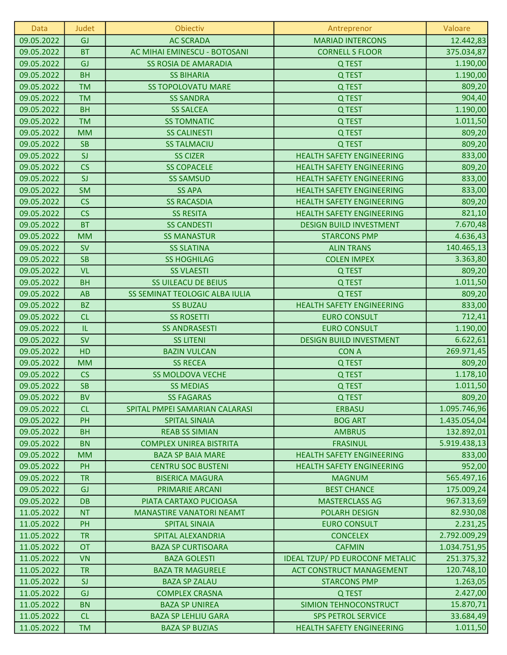| Data       | Judet                             | Obiectiv                        | Antreprenor                      | Valoare      |
|------------|-----------------------------------|---------------------------------|----------------------------------|--------------|
| 09.05.2022 | GJ                                | <b>AC SCRADA</b>                | <b>MARIAD INTERCONS</b>          | 12.442,83    |
| 09.05.2022 | <b>BT</b>                         | AC MIHAI EMINESCU - BOTOSANI    | <b>CORNELL S FLOOR</b>           | 375.034,87   |
| 09.05.2022 | GJ                                | <b>SS ROSIA DE AMARADIA</b>     | Q TEST                           | 1.190,00     |
| 09.05.2022 | <b>BH</b>                         | <b>SS BIHARIA</b>               | Q TEST                           | 1.190,00     |
| 09.05.2022 | <b>TM</b>                         | <b>SS TOPOLOVATU MARE</b>       | Q TEST                           | 809,20       |
| 09.05.2022 | <b>TM</b>                         | <b>SS SANDRA</b>                | Q TEST                           | 904,40       |
| 09.05.2022 | <b>BH</b>                         | <b>SS SALCEA</b>                | Q TEST                           | 1.190,00     |
| 09.05.2022 | <b>TM</b>                         | <b>SS TOMNATIC</b>              | Q TEST                           | 1.011,50     |
| 09.05.2022 | <b>MM</b>                         | <b>SS CALINESTI</b>             | Q TEST                           | 809,20       |
| 09.05.2022 | <b>SB</b>                         | <b>SS TALMACIU</b>              | Q TEST                           | 809,20       |
| 09.05.2022 | SI                                | <b>SS CIZER</b>                 | <b>HEALTH SAFETY ENGINEERING</b> | 833,00       |
| 09.05.2022 | CS                                | <b>SS COPACELE</b>              | <b>HEALTH SAFETY ENGINEERING</b> | 809,20       |
| 09.05.2022 | SI                                | <b>SS SAMSUD</b>                | <b>HEALTH SAFETY ENGINEERING</b> | 833,00       |
| 09.05.2022 | <b>SM</b>                         | <b>SS APA</b>                   | <b>HEALTH SAFETY ENGINEERING</b> | 833,00       |
| 09.05.2022 | CS                                | <b>SS RACASDIA</b>              | <b>HEALTH SAFETY ENGINEERING</b> | 809,20       |
| 09.05.2022 | CS                                | <b>SS RESITA</b>                | <b>HEALTH SAFETY ENGINEERING</b> | 821,10       |
| 09.05.2022 | <b>BT</b>                         | <b>SS CANDESTI</b>              | <b>DESIGN BUILD INVESTMENT</b>   | 7.670,48     |
| 09.05.2022 | <b>MM</b>                         | <b>SS MANASTUR</b>              | <b>STARCONS PMP</b>              | 4.636,43     |
| 09.05.2022 | <b>SV</b>                         | <b>SS SLATINA</b>               | <b>ALIN TRANS</b>                | 140.465,13   |
| 09.05.2022 | <b>SB</b>                         | <b>SS HOGHILAG</b>              | <b>COLEN IMPEX</b>               | 3.363,80     |
| 09.05.2022 | <b>VL</b>                         | <b>SS VLAESTI</b>               | Q TEST                           | 809,20       |
| 09.05.2022 | <b>BH</b>                         | <b>SS UILEACU DE BEIUS</b>      | Q TEST                           | 1.011,50     |
| 09.05.2022 | AB                                | SS SEMINAT TEOLOGIC ALBA IULIA  | Q TEST                           | 809,20       |
| 09.05.2022 | <b>BZ</b>                         | <b>SS BUZAU</b>                 | <b>HEALTH SAFETY ENGINEERING</b> | 833,00       |
| 09.05.2022 | CL                                | <b>SS ROSETTI</b>               | <b>EURO CONSULT</b>              | 712,41       |
| 09.05.2022 | $\ensuremath{\mathsf{IL}}\xspace$ | <b>SS ANDRASESTI</b>            | <b>EURO CONSULT</b>              | 1.190,00     |
| 09.05.2022 | <b>SV</b>                         | <b>SS LITENI</b>                | <b>DESIGN BUILD INVESTMENT</b>   | 6.622,61     |
| 09.05.2022 | HD                                | <b>BAZIN VULCAN</b>             | <b>CON A</b>                     | 269.971,45   |
| 09.05.2022 | <b>MM</b>                         | <b>SS RECEA</b>                 | Q TEST                           | 809,20       |
| 09.05.2022 | CS                                | <b>SS MOLDOVA VECHE</b>         | Q TEST                           | 1.178,10     |
| 09.05.2022 | <b>SB</b>                         | <b>SS MEDIAS</b>                | Q TEST                           | 1.011,50     |
| 09.05.2022 | <b>BV</b>                         | <b>SS FAGARAS</b>               | Q TEST                           | 809,20       |
| 09.05.2022 | CL                                | SPITAL PMPEI SAMARIAN CALARASI  | <b>ERBASU</b>                    | 1.095.746,96 |
| 09.05.2022 | PH                                | <b>SPITAL SINAIA</b>            | <b>BOG ART</b>                   | 1.435.054,04 |
| 09.05.2022 | <b>BH</b>                         | <b>REAB SS SIMIAN</b>           | <b>AMBRUS</b>                    | 132.892,01   |
| 09.05.2022 | <b>BN</b>                         | <b>COMPLEX UNIREA BISTRITA</b>  | <b>FRASINUL</b>                  | 5.919.438,13 |
| 09.05.2022 | <b>MM</b>                         | <b>BAZA SP BAIA MARE</b>        | <b>HEALTH SAFETY ENGINEERING</b> | 833,00       |
| 09.05.2022 | PH                                | <b>CENTRU SOC BUSTENI</b>       | <b>HEALTH SAFETY ENGINEERING</b> | 952,00       |
| 09.05.2022 | <b>TR</b>                         | <b>BISERICA MAGURA</b>          | <b>MAGNUM</b>                    | 565.497,16   |
| 09.05.2022 | GJ                                | <b>PRIMARIE ARCANI</b>          | <b>BEST CHANCE</b>               | 175.009,24   |
| 09.05.2022 | <b>DB</b>                         | PIATA CARTAXO PUCIOASA          | <b>MASTERCLASS AG</b>            | 967.313,69   |
| 11.05.2022 | <b>NT</b>                         | <b>MANASTIRE VANATORI NEAMT</b> | <b>POLARH DESIGN</b>             | 82.930,08    |
| 11.05.2022 | PH                                | <b>SPITAL SINAIA</b>            | <b>EURO CONSULT</b>              | 2.231,25     |
| 11.05.2022 | <b>TR</b>                         | SPITAL ALEXANDRIA               | <b>CONCELEX</b>                  | 2.792.009,29 |
| 11.05.2022 | <b>OT</b>                         | <b>BAZA SP CURTISOARA</b>       | <b>CAFMIN</b>                    | 1.034.751,95 |
| 11.05.2022 | <b>VN</b>                         | <b>BAZA GOLESTI</b>             | IDEAL TZUP/ PD EUROCONF METALIC  | 251.375,32   |
| 11.05.2022 | <b>TR</b>                         | <b>BAZA TR MAGURELE</b>         | <b>ACT CONSTRUCT MANAGEMENT</b>  | 120.748,10   |
| 11.05.2022 | SJ                                | <b>BAZA SP ZALAU</b>            | <b>STARCONS PMP</b>              | 1.263,05     |
| 11.05.2022 | GJ                                | <b>COMPLEX CRASNA</b>           | Q TEST                           | 2.427,00     |
| 11.05.2022 | <b>BN</b>                         | <b>BAZA SP UNIREA</b>           | SIMION TEHNOCONSTRUCT            | 15.870,71    |
| 11.05.2022 | CL                                | <b>BAZA SP LEHLIU GARA</b>      | <b>SPS PETROL SERVICE</b>        | 33.684,49    |
| 11.05.2022 | <b>TM</b>                         | <b>BAZA SP BUZIAS</b>           | <b>HEALTH SAFETY ENGINEERING</b> | 1.011,50     |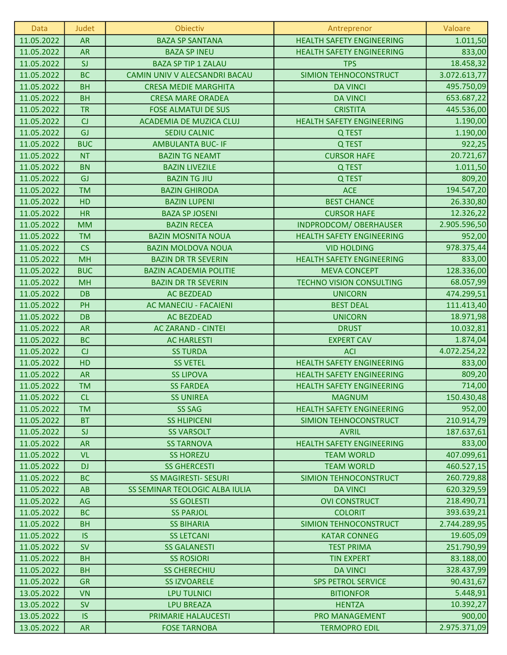| Data       | Judet      | Obiectiv                       | Antreprenor                      | Valoare      |
|------------|------------|--------------------------------|----------------------------------|--------------|
| 11.05.2022 | <b>AR</b>  | <b>BAZA SP SANTANA</b>         | <b>HEALTH SAFETY ENGINEERING</b> | 1.011,50     |
| 11.05.2022 | <b>AR</b>  | <b>BAZA SP INEU</b>            | <b>HEALTH SAFETY ENGINEERING</b> | 833,00       |
| 11.05.2022 | SI         | <b>BAZA SP TIP 1 ZALAU</b>     | <b>TPS</b>                       | 18.458,32    |
| 11.05.2022 | <b>BC</b>  | CAMIN UNIV V ALECSANDRI BACAU  | SIMION TEHNOCONSTRUCT            | 3.072.613,77 |
| 11.05.2022 | <b>BH</b>  | <b>CRESA MEDIE MARGHITA</b>    | <b>DA VINCI</b>                  | 495.750,09   |
| 11.05.2022 | <b>BH</b>  | <b>CRESA MARE ORADEA</b>       | <b>DA VINCI</b>                  | 653.687,22   |
| 11.05.2022 | <b>TR</b>  | <b>FOSE ALMATUI DE SUS</b>     | <b>CRISTITA</b>                  | 445.536,00   |
| 11.05.2022 | CJ         | ACADEMIA DE MUZICA CLUJ        | <b>HEALTH SAFETY ENGINEERING</b> | 1.190,00     |
| 11.05.2022 | GJ         | <b>SEDIU CALNIC</b>            | Q TEST                           | 1.190,00     |
| 11.05.2022 | <b>BUC</b> | <b>AMBULANTA BUC- IF</b>       | Q TEST                           | 922,25       |
| 11.05.2022 | <b>NT</b>  | <b>BAZIN TG NEAMT</b>          | <b>CURSOR HAFE</b>               | 20.721,67    |
| 11.05.2022 | <b>BN</b>  | <b>BAZIN LIVEZILE</b>          | Q TEST                           | 1.011,50     |
| 11.05.2022 | GJ         | <b>BAZIN TG JIU</b>            | Q TEST                           | 809,20       |
| 11.05.2022 | <b>TM</b>  | <b>BAZIN GHIRODA</b>           | <b>ACE</b>                       | 194.547,20   |
| 11.05.2022 | HD         | <b>BAZIN LUPENI</b>            | <b>BEST CHANCE</b>               | 26.330,80    |
| 11.05.2022 | <b>HR</b>  | <b>BAZA SP JOSENI</b>          | <b>CURSOR HAFE</b>               | 12.326,22    |
| 11.05.2022 | <b>MM</b>  | <b>BAZIN RECEA</b>             | INDPRODCOM/ OBERHAUSER           | 2.905.596,50 |
| 11.05.2022 | <b>TM</b>  | <b>BAZIN MOSNITA NOUA</b>      | <b>HEALTH SAFETY ENGINEERING</b> | 952,00       |
| 11.05.2022 | CS         | <b>BAZIN MOLDOVA NOUA</b>      | <b>VID HOLDING</b>               | 978.375,44   |
| 11.05.2022 | <b>MH</b>  | <b>BAZIN DR TR SEVERIN</b>     | <b>HEALTH SAFETY ENGINEERING</b> | 833,00       |
| 11.05.2022 | <b>BUC</b> | <b>BAZIN ACADEMIA POLITIE</b>  | <b>MEVA CONCEPT</b>              | 128.336,00   |
| 11.05.2022 | <b>MH</b>  | <b>BAZIN DR TR SEVERIN</b>     | <b>TECHNO VISION CONSULTING</b>  | 68.057,99    |
| 11.05.2022 | <b>DB</b>  | <b>AC BEZDEAD</b>              | <b>UNICORN</b>                   | 474.299,51   |
| 11.05.2022 | PH         | AC MANECIU - FACAIENI          | <b>BEST DEAL</b>                 | 111.413,40   |
| 11.05.2022 | <b>DB</b>  | <b>AC BEZDEAD</b>              | <b>UNICORN</b>                   | 18.971,98    |
| 11.05.2022 | <b>AR</b>  | <b>AC ZARAND - CINTEI</b>      | <b>DRUST</b>                     | 10.032,81    |
| 11.05.2022 | <b>BC</b>  | <b>AC HARLESTI</b>             | <b>EXPERT CAV</b>                | 1.874,04     |
| 11.05.2022 | CJ         | <b>SS TURDA</b>                | <b>ACI</b>                       | 4.072.254,22 |
| 11.05.2022 | HD         | <b>SS VETEL</b>                | <b>HEALTH SAFETY ENGINEERING</b> | 833,00       |
| 11.05.2022 | <b>AR</b>  | <b>SS LIPOVA</b>               | <b>HEALTH SAFETY ENGINEERING</b> | 809,20       |
| 11.05.2022 | <b>TM</b>  | <b>SS FARDEA</b>               | <b>HEALTH SAFETY ENGINEERING</b> | 714,00       |
| 11.05.2022 | <b>CL</b>  | <b>SS UNIREA</b>               | <b>MAGNUM</b>                    | 150.430,48   |
| 11.05.2022 | <b>TM</b>  | <b>SS SAG</b>                  | <b>HEALTH SAFETY ENGINEERING</b> | 952,00       |
| 11.05.2022 | <b>BT</b>  | <b>SS HLIPICENI</b>            | SIMION TEHNOCONSTRUCT            | 210.914,79   |
| 11.05.2022 | SI         | <b>SS VARSOLT</b>              | <b>AVRIL</b>                     | 187.637,61   |
| 11.05.2022 | <b>AR</b>  | <b>SS TARNOVA</b>              | <b>HEALTH SAFETY ENGINEERING</b> | 833,00       |
| 11.05.2022 | <b>VL</b>  | <b>SS HOREZU</b>               | <b>TEAM WORLD</b>                | 407.099,61   |
| 11.05.2022 | <b>DJ</b>  | <b>SS GHERCESTI</b>            | <b>TEAM WORLD</b>                | 460.527,15   |
| 11.05.2022 | <b>BC</b>  | <b>SS MAGIRESTI- SESURI</b>    | SIMION TEHNOCONSTRUCT            | 260.729,88   |
| 11.05.2022 | AB         | SS SEMINAR TEOLOGIC ALBA IULIA | <b>DA VINCI</b>                  | 620.329,59   |
| 11.05.2022 | AG         | <b>SS GOLESTI</b>              | <b>OVI CONSTRUCT</b>             | 218.490,71   |
| 11.05.2022 | <b>BC</b>  | <b>SS PARJOL</b>               | <b>COLORIT</b>                   | 393.639,21   |
| 11.05.2022 | <b>BH</b>  | <b>SS BIHARIA</b>              | SIMION TEHNOCONSTRUCT            | 2.744.289,95 |
| 11.05.2022 | IS.        | <b>SS LETCANI</b>              | <b>KATAR CONNEG</b>              | 19.605,09    |
| 11.05.2022 | <b>SV</b>  | <b>SS GALANESTI</b>            | <b>TEST PRIMA</b>                | 251.790,99   |
| 11.05.2022 | <b>BH</b>  | <b>SS ROSIORI</b>              | <b>TIN EXPERT</b>                | 83.188,00    |
| 11.05.2022 | <b>BH</b>  | <b>SS CHERECHIU</b>            | <b>DA VINCI</b>                  | 328.437,99   |
| 11.05.2022 | <b>GR</b>  | <b>SS IZVOARELE</b>            | <b>SPS PETROL SERVICE</b>        | 90.431,67    |
| 13.05.2022 | <b>VN</b>  | <b>LPU TULNICI</b>             | <b>BITIONFOR</b>                 | 5.448,91     |
| 13.05.2022 | <b>SV</b>  | <b>LPU BREAZA</b>              | <b>HENTZA</b>                    | 10.392,27    |
| 13.05.2022 | <b>IS</b>  | PRIMARIE HALAUCESTI            | PRO MANAGEMENT                   | 900,00       |
| 13.05.2022 | <b>AR</b>  | <b>FOSE TARNOBA</b>            | <b>TERMOPRO EDIL</b>             | 2.975.371,09 |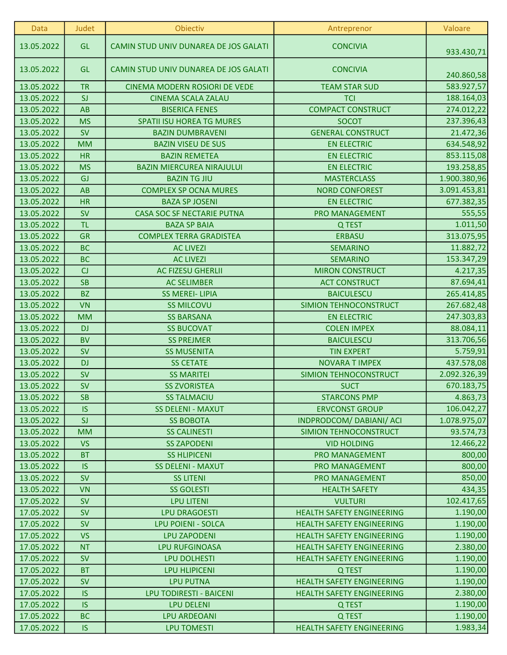| Data       | Judet     | Obiectiv                              | Antreprenor                      | Valoare      |
|------------|-----------|---------------------------------------|----------------------------------|--------------|
| 13.05.2022 | GL        | CAMIN STUD UNIV DUNAREA DE JOS GALATI | <b>CONCIVIA</b>                  | 933.430,71   |
| 13.05.2022 | <b>GL</b> | CAMIN STUD UNIV DUNAREA DE JOS GALATI | <b>CONCIVIA</b>                  | 240.860,58   |
| 13.05.2022 | <b>TR</b> | CINEMA MODERN ROSIORI DE VEDE         | <b>TEAM STAR SUD</b>             | 583.927,57   |
| 13.05.2022 | SI        | <b>CINEMA SCALA ZALAU</b>             | <b>TCI</b>                       | 188.164,03   |
| 13.05.2022 | AB        | <b>BISERICA FENES</b>                 | <b>COMPACT CONSTRUCT</b>         | 274.012,22   |
| 13.05.2022 | <b>MS</b> | <b>SPATII ISU HOREA TG MURES</b>      | <b>SOCOT</b>                     | 237.396,43   |
| 13.05.2022 | <b>SV</b> | <b>BAZIN DUMBRAVENI</b>               | <b>GENERAL CONSTRUCT</b>         | 21.472,36    |
| 13.05.2022 | <b>MM</b> | <b>BAZIN VISEU DE SUS</b>             | <b>EN ELECTRIC</b>               | 634.548,92   |
| 13.05.2022 | <b>HR</b> | <b>BAZIN REMETEA</b>                  | <b>EN ELECTRIC</b>               | 853.115,08   |
| 13.05.2022 | <b>MS</b> | <b>BAZIN MIERCUREA NIRAJULUI</b>      | <b>EN ELECTRIC</b>               | 193.258,85   |
| 13.05.2022 | GJ        | <b>BAZIN TG JIU</b>                   | <b>MASTERCLASS</b>               | 1.900.380,96 |
| 13.05.2022 | AB        | <b>COMPLEX SP OCNA MURES</b>          | <b>NORD CONFOREST</b>            | 3.091.453,81 |
| 13.05.2022 | <b>HR</b> | <b>BAZA SP JOSENI</b>                 | <b>EN ELECTRIC</b>               | 677.382,35   |
| 13.05.2022 | <b>SV</b> | <b>CASA SOC SF NECTARIE PUTNA</b>     | PRO MANAGEMENT                   | 555,55       |
| 13.05.2022 | <b>TL</b> | <b>BAZA SP BAIA</b>                   | Q TEST                           | 1.011,50     |
| 13.05.2022 | <b>GR</b> | <b>COMPLEX TERRA GRADISTEA</b>        | <b>ERBASU</b>                    | 313.075,95   |
| 13.05.2022 | <b>BC</b> | <b>AC LIVEZI</b>                      | <b>SEMARINO</b>                  | 11.882,72    |
| 13.05.2022 | <b>BC</b> | <b>AC LIVEZI</b>                      | <b>SEMARINO</b>                  | 153.347,29   |
| 13.05.2022 | CJ        | <b>AC FIZESU GHERLII</b>              | <b>MIRON CONSTRUCT</b>           | 4.217,35     |
| 13.05.2022 | <b>SB</b> | <b>AC SELIMBER</b>                    | <b>ACT CONSTRUCT</b>             | 87.694,41    |
| 13.05.2022 | <b>BZ</b> | <b>SS MEREI- LIPIA</b>                | <b>BAICULESCU</b>                | 265.414,85   |
| 13.05.2022 | <b>VN</b> | <b>SS MILCOVU</b>                     | SIMION TEHNOCONSTRUCT            | 267.682,48   |
| 13.05.2022 | <b>MM</b> | <b>SS BARSANA</b>                     | <b>EN ELECTRIC</b>               | 247.303,83   |
| 13.05.2022 | <b>DJ</b> | <b>SS BUCOVAT</b>                     | <b>COLEN IMPEX</b>               | 88.084,11    |
| 13.05.2022 | <b>BV</b> | <b>SS PREJMER</b>                     | <b>BAICULESCU</b>                | 313.706,56   |
| 13.05.2022 | <b>SV</b> | <b>SS MUSENITA</b>                    | <b>TIN EXPERT</b>                | 5.759,91     |
| 13.05.2022 | <b>DJ</b> | <b>SS CETATE</b>                      | <b>NOVARA T IMPEX</b>            | 437.578,08   |
| 13.05.2022 | <b>SV</b> | <b>SS MARITEI</b>                     | SIMION TEHNOCONSTRUCT            | 2.092.326,39 |
| 13.05.2022 | <b>SV</b> | <b>SS ZVORISTEA</b>                   | <b>SUCT</b>                      | 670.183,75   |
| 13.05.2022 | <b>SB</b> | <b>SS TALMACIU</b>                    | <b>STARCONS PMP</b>              | 4.863,73     |
| 13.05.2022 | <b>IS</b> | <b>SS DELENI - MAXUT</b>              | <b>ERVCONST GROUP</b>            | 106.042,27   |
| 13.05.2022 | SI        | <b>SS BOBOTA</b>                      | INDPRODCOM/DABIANI/ACI           | 1.078.975,07 |
| 13.05.2022 | <b>MM</b> | <b>SS CALINESTI</b>                   | SIMION TEHNOCONSTRUCT            | 93.574,73    |
| 13.05.2022 | <b>VS</b> | <b>SS ZAPODENI</b>                    | <b>VID HOLDING</b>               | 12.466,22    |
| 13.05.2022 | <b>BT</b> | <b>SS HLIPICENI</b>                   | <b>PRO MANAGEMENT</b>            | 800,00       |
| 13.05.2022 | <b>IS</b> | <b>SS DELENI - MAXUT</b>              | PRO MANAGEMENT                   | 800,00       |
| 13.05.2022 | <b>SV</b> | <b>SS LITENI</b>                      | PRO MANAGEMENT                   | 850,00       |
| 13.05.2022 | <b>VN</b> | <b>SS GOLESTI</b>                     | <b>HEALTH SAFETY</b>             | 434,35       |
| 17.05.2022 | <b>SV</b> | <b>LPU LITENI</b>                     | <b>VULTURI</b>                   | 102.417,65   |
| 17.05.2022 | <b>SV</b> | <b>LPU DRAGOESTI</b>                  | <b>HEALTH SAFETY ENGINEERING</b> | 1.190,00     |
| 17.05.2022 | <b>SV</b> | <b>LPU POIENI - SOLCA</b>             | <b>HEALTH SAFETY ENGINEERING</b> | 1.190,00     |
| 17.05.2022 | <b>VS</b> | <b>LPU ZAPODENI</b>                   | <b>HEALTH SAFETY ENGINEERING</b> | 1.190,00     |
| 17.05.2022 | <b>NT</b> | <b>LPU RUFGINOASA</b>                 | <b>HEALTH SAFETY ENGINEERING</b> | 2.380,00     |
| 17.05.2022 | <b>SV</b> | <b>LPU DOLHESTI</b>                   | <b>HEALTH SAFETY ENGINEERING</b> | 1.190,00     |
| 17.05.2022 | <b>BT</b> | <b>LPU HLIPICENI</b>                  | Q TEST                           | 1.190,00     |
| 17.05.2022 | <b>SV</b> | <b>LPU PUTNA</b>                      | <b>HEALTH SAFETY ENGINEERING</b> | 1.190,00     |
| 17.05.2022 | <b>IS</b> | <b>LPU TODIRESTI - BAICENI</b>        | <b>HEALTH SAFETY ENGINEERING</b> | 2.380,00     |
| 17.05.2022 | <b>IS</b> | <b>LPU DELENI</b>                     | Q TEST                           | 1.190,00     |
| 17.05.2022 | <b>BC</b> | <b>LPU ARDEOANI</b>                   | Q TEST                           | 1.190,00     |
| 17.05.2022 | <b>IS</b> | <b>LPU TOMESTI</b>                    | <b>HEALTH SAFETY ENGINEERING</b> | 1.983,34     |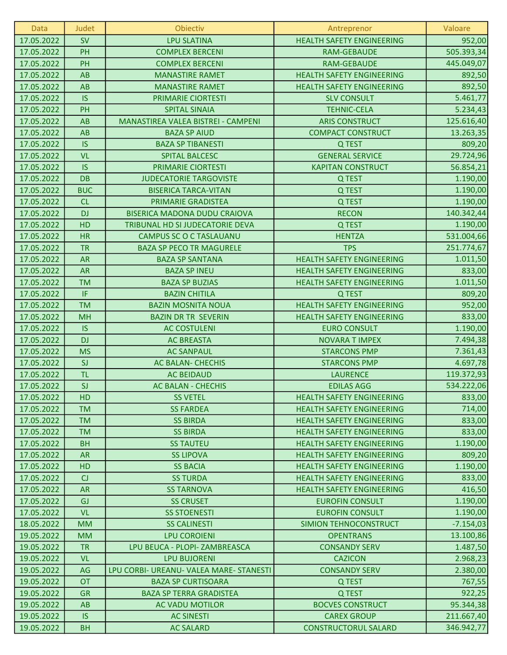| <b>Data</b>              | Judet           | Obiectiv                                                       | Antreprenor                            | Valoare              |
|--------------------------|-----------------|----------------------------------------------------------------|----------------------------------------|----------------------|
| 17.05.2022               | <b>SV</b>       | <b>LPU SLATINA</b>                                             | <b>HEALTH SAFETY ENGINEERING</b>       | 952,00               |
| 17.05.2022               | PH              | <b>COMPLEX BERCENI</b>                                         | <b>RAM-GEBAUDE</b>                     | 505.393,34           |
| 17.05.2022               | PH              | <b>COMPLEX BERCENI</b>                                         | <b>RAM-GEBAUDE</b>                     | 445.049,07           |
| 17.05.2022               | AB              | <b>MANASTIRE RAMET</b>                                         | <b>HEALTH SAFETY ENGINEERING</b>       | 892,50               |
| 17.05.2022               | AB              | <b>MANASTIRE RAMET</b>                                         | <b>HEALTH SAFETY ENGINEERING</b>       | 892,50               |
| 17.05.2022               | <b>IS</b>       | PRIMARIE CIORTESTI                                             | <b>SLV CONSULT</b>                     | 5.461,77             |
| 17.05.2022               | PH              | <b>SPITAL SINAIA</b>                                           | <b>TEHNIC-CELA</b>                     | 5.234,43             |
| 17.05.2022               | AB              | MANASTIREA VALEA BISTREI - CAMPENI                             | <b>ARIS CONSTRUCT</b>                  | 125.616,40           |
| 17.05.2022               | AB              | <b>BAZA SP AIUD</b>                                            | <b>COMPACT CONSTRUCT</b>               | 13.263,35            |
| 17.05.2022               | <b>IS</b>       | <b>BAZA SP TIBANESTI</b>                                       | Q TEST                                 | 809,20               |
| 17.05.2022               | <b>VL</b>       | <b>SPITAL BALCESC</b>                                          | <b>GENERAL SERVICE</b>                 | 29.724,96            |
| 17.05.2022               | <b>IS</b>       | PRIMARIE CIORTESTI                                             | <b>KAPITAN CONSTRUCT</b>               | 56.854,21            |
| 17.05.2022               | <b>DB</b>       | <b>JUDECATORIE TARGOVISTE</b>                                  | Q TEST                                 | 1.190,00             |
| 17.05.2022               | <b>BUC</b>      | <b>BISERICA TARCA-VITAN</b>                                    | Q TEST                                 | 1.190,00             |
| 17.05.2022               | <b>CL</b>       | PRIMARIE GRADISTEA                                             | Q TEST                                 | 1.190,00             |
| 17.05.2022               | <b>DJ</b>       | <b>BISERICA MADONA DUDU CRAIOVA</b>                            | <b>RECON</b>                           | 140.342,44           |
| 17.05.2022               | HD              | TRIBUNAL HD SI JUDECATORIE DEVA                                | Q TEST                                 | 1.190,00             |
| 17.05.2022               | <b>HR</b>       | <b>CAMPUS SC O C TASLAUANU</b>                                 | <b>HENTZA</b>                          | 531.004,66           |
| 17.05.2022               | <b>TR</b>       | <b>BAZA SP PECO TR MAGURELE</b>                                | <b>TPS</b>                             | 251.774,67           |
| 17.05.2022               | <b>AR</b>       | <b>BAZA SP SANTANA</b>                                         | <b>HEALTH SAFETY ENGINEERING</b>       | 1.011,50             |
| 17.05.2022               | <b>AR</b>       | <b>BAZA SP INEU</b>                                            | <b>HEALTH SAFETY ENGINEERING</b>       | 833,00               |
| 17.05.2022               | <b>TM</b>       | <b>BAZA SP BUZIAS</b>                                          | <b>HEALTH SAFETY ENGINEERING</b>       | 1.011,50             |
| 17.05.2022               | IF              | <b>BAZIN CHITILA</b>                                           | Q TEST                                 | 809,20               |
| 17.05.2022               | <b>TM</b>       | <b>BAZIN MOSNITA NOUA</b>                                      | <b>HEALTH SAFETY ENGINEERING</b>       | 952,00               |
| 17.05.2022               | <b>MH</b>       | <b>BAZIN DR TR SEVERIN</b>                                     | <b>HEALTH SAFETY ENGINEERING</b>       | 833,00               |
| 17.05.2022               | <b>IS</b>       | <b>AC COSTULENI</b>                                            | <b>EURO CONSULT</b>                    | 1.190,00             |
| 17.05.2022               | <b>DJ</b>       | <b>AC BREASTA</b>                                              | <b>NOVARA T IMPEX</b>                  | 7.494,38             |
| 17.05.2022               | <b>MS</b>       | <b>AC SANPAUL</b>                                              | <b>STARCONS PMP</b>                    | 7.361,43             |
| 17.05.2022               | SJ              | <b>AC BALAN- CHECHIS</b>                                       | <b>STARCONS PMP</b>                    | 4.697,78             |
| 17.05.2022               | <b>TL</b>       | <b>AC BEIDAUD</b>                                              | <b>LAURENCE</b>                        | 119.372,93           |
| 17.05.2022               | SJ              | <b>AC BALAN - CHECHIS</b>                                      | <b>EDILAS AGG</b>                      | 534.222,06           |
| 17.05.2022               | <b>HD</b>       | <b>SS VETEL</b>                                                | <b>HEALTH SAFETY ENGINEERING</b>       | 833,00               |
| 17.05.2022               | <b>TM</b>       | <b>SS FARDEA</b>                                               | <b>HEALTH SAFETY ENGINEERING</b>       | 714,00               |
| 17.05.2022               | <b>TM</b>       | <b>SS BIRDA</b>                                                | <b>HEALTH SAFETY ENGINEERING</b>       | 833,00               |
| 17.05.2022               | <b>TM</b>       | <b>SS BIRDA</b>                                                | <b>HEALTH SAFETY ENGINEERING</b>       | 833,00               |
| 17.05.2022               | <b>BH</b>       | <b>SS TAUTEU</b>                                               | <b>HEALTH SAFETY ENGINEERING</b>       | 1.190,00             |
| 17.05.2022               | <b>AR</b>       | <b>SS LIPOVA</b>                                               | <b>HEALTH SAFETY ENGINEERING</b>       | 809,20               |
| 17.05.2022               | HD              | <b>SS BACIA</b>                                                | <b>HEALTH SAFETY ENGINEERING</b>       | 1.190,00             |
| 17.05.2022               | CJ              | <b>SS TURDA</b>                                                | <b>HEALTH SAFETY ENGINEERING</b>       | 833,00               |
| 17.05.2022               | <b>AR</b>       | <b>SS TARNOVA</b>                                              | <b>HEALTH SAFETY ENGINEERING</b>       | 416,50               |
| 17.05.2022               | GJ              | <b>SS CRUSET</b>                                               | <b>EUROFIN CONSULT</b>                 | 1.190,00             |
| 17.05.2022               | <b>VL</b>       | <b>SS STOENESTI</b>                                            | <b>EUROFIN CONSULT</b>                 | 1.190,00             |
| 18.05.2022               | <b>MM</b>       | <b>SS CALINESTI</b>                                            | SIMION TEHNOCONSTRUCT                  | $-7.154,03$          |
| 19.05.2022               | <b>MM</b>       | <b>LPU COROIENI</b>                                            | <b>OPENTRANS</b>                       | 13.100,86            |
| 19.05.2022               | <b>TR</b>       | LPU BEUCA - PLOPI- ZAMBREASCA                                  | <b>CONSANDY SERV</b>                   | 1.487,50             |
| 19.05.2022<br>19.05.2022 | <b>VL</b><br>AG | <b>LPU BUJORENI</b><br>LPU CORBI- UREANU- VALEA MARE- STANESTI | <b>CAZICON</b><br><b>CONSANDY SERV</b> | 2.968,23<br>2.380,00 |
| 19.05.2022               | <b>OT</b>       | <b>BAZA SP CURTISOARA</b>                                      | Q TEST                                 | 767,55               |
| 19.05.2022               | <b>GR</b>       | <b>BAZA SP TERRA GRADISTEA</b>                                 | Q TEST                                 | 922,25               |
| 19.05.2022               | AB              | <b>AC VADU MOTILOR</b>                                         | <b>BOCVES CONSTRUCT</b>                | 95.344,38            |
| 19.05.2022               | <b>IS</b>       | <b>AC SINESTI</b>                                              | <b>CAREX GROUP</b>                     | 211.667,40           |
| 19.05.2022               | <b>BH</b>       | <b>AC SALARD</b>                                               | <b>CONSTRUCTORUL SALARD</b>            | 346.942,77           |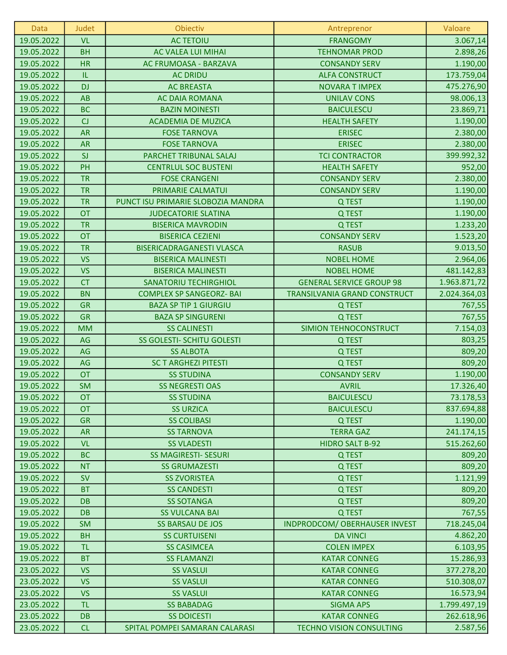| Data       | Judet     | Obiectiv                           | Antreprenor                     | Valoare      |
|------------|-----------|------------------------------------|---------------------------------|--------------|
| 19.05.2022 | <b>VL</b> | <b>AC TETOIU</b>                   | <b>FRANGOMY</b>                 | 3.067,14     |
| 19.05.2022 | <b>BH</b> | <b>AC VALEA LUI MIHAI</b>          | <b>TEHNOMAR PROD</b>            | 2.898,26     |
| 19.05.2022 | <b>HR</b> | AC FRUMOASA - BARZAVA              | <b>CONSANDY SERV</b>            | 1.190,00     |
| 19.05.2022 | IL.       | <b>AC DRIDU</b>                    | <b>ALFA CONSTRUCT</b>           | 173.759,04   |
| 19.05.2022 | <b>DJ</b> | <b>AC BREASTA</b>                  | <b>NOVARA T IMPEX</b>           | 475.276,90   |
| 19.05.2022 | AB        | <b>AC DAIA ROMANA</b>              | <b>UNILAV CONS</b>              | 98.006,13    |
| 19.05.2022 | <b>BC</b> | <b>BAZIN MOINESTI</b>              | <b>BAICULESCU</b>               | 23.869,71    |
| 19.05.2022 | CJ        | <b>ACADEMIA DE MUZICA</b>          | <b>HEALTH SAFETY</b>            | 1.190,00     |
| 19.05.2022 | <b>AR</b> | <b>FOSE TARNOVA</b>                | <b>ERISEC</b>                   | 2.380,00     |
| 19.05.2022 | <b>AR</b> | <b>FOSE TARNOVA</b>                | <b>ERISEC</b>                   | 2.380,00     |
| 19.05.2022 | SI        | PARCHET TRIBUNAL SALAJ             | <b>TCI CONTRACTOR</b>           | 399.992,32   |
| 19.05.2022 | PH        | <b>CENTRLUL SOC BUSTENI</b>        | <b>HEALTH SAFETY</b>            | 952,00       |
| 19.05.2022 | <b>TR</b> | <b>FOSE CRANGENI</b>               | <b>CONSANDY SERV</b>            | 2.380,00     |
| 19.05.2022 | <b>TR</b> | PRIMARIE CALMATUI                  | <b>CONSANDY SERV</b>            | 1.190,00     |
| 19.05.2022 | <b>TR</b> | PUNCT ISU PRIMARIE SLOBOZIA MANDRA | Q TEST                          | 1.190,00     |
| 19.05.2022 | <b>OT</b> | <b>JUDECATORIE SLATINA</b>         | Q TEST                          | 1.190,00     |
| 19.05.2022 | <b>TR</b> | <b>BISERICA MAVRODIN</b>           | Q TEST                          | 1.233,20     |
| 19.05.2022 | <b>OT</b> | <b>BISERICA CEZIENI</b>            | <b>CONSANDY SERV</b>            | 1.523,20     |
| 19.05.2022 | <b>TR</b> | <b>BISERICADRAGANESTI VLASCA</b>   | <b>RASUB</b>                    | 9.013,50     |
| 19.05.2022 | <b>VS</b> | <b>BISERICA MALINESTI</b>          | <b>NOBEL HOME</b>               | 2.964,06     |
| 19.05.2022 | <b>VS</b> | <b>BISERICA MALINESTI</b>          | <b>NOBEL HOME</b>               | 481.142,83   |
| 19.05.2022 | CT        | <b>SANATORIU TECHIRGHIOL</b>       | <b>GENERAL SERVICE GROUP 98</b> | 1.963.871,72 |
| 19.05.2022 | <b>BN</b> | <b>COMPLEX SP SANGEORZ- BAI</b>    | TRANSILVANIA GRAND CONSTRUCT    | 2.024.364,03 |
| 19.05.2022 | <b>GR</b> | <b>BAZA SP TIP 1 GIURGIU</b>       | Q TEST                          | 767,55       |
| 19.05.2022 | <b>GR</b> | <b>BAZA SP SINGURENI</b>           | Q TEST                          | 767,55       |
| 19.05.2022 | <b>MM</b> | <b>SS CALINESTI</b>                | SIMION TEHNOCONSTRUCT           | 7.154,03     |
| 19.05.2022 | AG        | SS GOLESTI- SCHITU GOLESTI         | Q TEST                          | 803,25       |
| 19.05.2022 | AG        | <b>SS ALBOTA</b>                   | Q TEST                          | 809,20       |
| 19.05.2022 | AG        | <b>SC T ARGHEZI PITESTI</b>        | Q TEST                          | 809,20       |
| 19.05.2022 | <b>OT</b> | <b>SS STUDINA</b>                  | <b>CONSANDY SERV</b>            | 1.190,00     |
| 19.05.2022 | <b>SM</b> | <b>SS NEGRESTI OAS</b>             | <b>AVRIL</b>                    | 17.326,40    |
| 19.05.2022 | <b>OT</b> | <b>SS STUDINA</b>                  | <b>BAICULESCU</b>               | 73.178,53    |
| 19.05.2022 | <b>OT</b> | <b>SS URZICA</b>                   | <b>BAICULESCU</b>               | 837.694,88   |
| 19.05.2022 | <b>GR</b> | <b>SS COLIBASI</b>                 | Q TEST                          | 1.190,00     |
| 19.05.2022 | <b>AR</b> | <b>SS TARNOVA</b>                  | <b>TERRA GAZ</b>                | 241.174,15   |
| 19.05.2022 | <b>VL</b> | <b>SS VLADESTI</b>                 | <b>HIDRO SALT B-92</b>          | 515.262,60   |
| 19.05.2022 | <b>BC</b> | <b>SS MAGIRESTI- SESURI</b>        | Q TEST                          | 809,20       |
| 19.05.2022 | <b>NT</b> | <b>SS GRUMAZESTI</b>               | Q TEST                          | 809,20       |
| 19.05.2022 | <b>SV</b> | <b>SS ZVORISTEA</b>                | Q TEST                          | 1.121,99     |
| 19.05.2022 | <b>BT</b> | <b>SS CANDESTI</b>                 | Q TEST                          | 809,20       |
| 19.05.2022 | <b>DB</b> | <b>SS SOTANGA</b>                  | Q TEST                          | 809,20       |
| 19.05.2022 | <b>DB</b> | <b>SS VULCANA BAI</b>              | Q TEST                          | 767,55       |
| 19.05.2022 | <b>SM</b> | <b>SS BARSAU DE JOS</b>            | INDPRODCOM/ OBERHAUSER INVEST   | 718.245,04   |
| 19.05.2022 | <b>BH</b> | <b>SS CURTUISENI</b>               | <b>DA VINCI</b>                 | 4.862,20     |
| 19.05.2022 | <b>TL</b> | <b>SS CASIMCEA</b>                 | <b>COLEN IMPEX</b>              | 6.103,95     |
| 19.05.2022 | <b>BT</b> | <b>SS FLAMANZI</b>                 | <b>KATAR CONNEG</b>             | 15.286,93    |
| 23.05.2022 | <b>VS</b> | <b>SS VASLUI</b>                   | <b>KATAR CONNEG</b>             | 377.278,20   |
| 23.05.2022 | <b>VS</b> | <b>SS VASLUI</b>                   | <b>KATAR CONNEG</b>             | 510.308,07   |
| 23.05.2022 | <b>VS</b> | <b>SS VASLUI</b>                   | <b>KATAR CONNEG</b>             | 16.573,94    |
| 23.05.2022 | <b>TL</b> | <b>SS BABADAG</b>                  | <b>SIGMA APS</b>                | 1.799.497,19 |
| 23.05.2022 | <b>DB</b> | <b>SS DOICESTI</b>                 | <b>KATAR CONNEG</b>             | 262.618,96   |
| 23.05.2022 | CL        | SPITAL POMPEI SAMARAN CALARASI     | <b>TECHNO VISION CONSULTING</b> | 2.587,56     |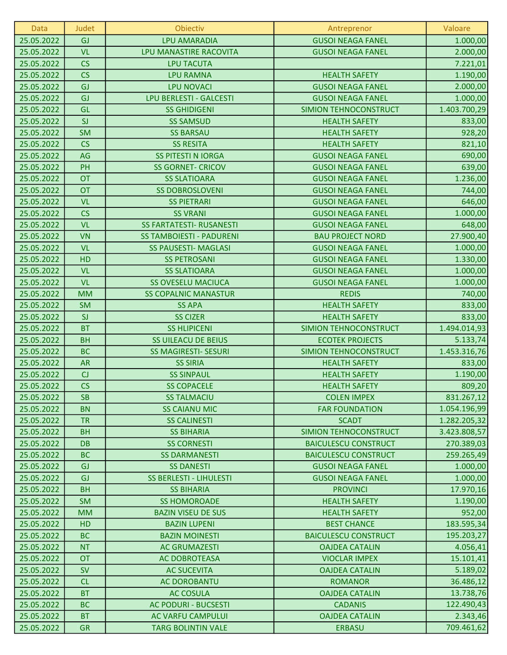| Data       | Judet     | Obiectiv                        | Antreprenor                  | Valoare      |
|------------|-----------|---------------------------------|------------------------------|--------------|
| 25.05.2022 | GJ        | <b>LPU AMARADIA</b>             | <b>GUSOI NEAGA FANEL</b>     | 1.000,00     |
| 25.05.2022 | <b>VL</b> | LPU MANASTIRE RACOVITA          | <b>GUSOI NEAGA FANEL</b>     | 2.000,00     |
| 25.05.2022 | CS        | <b>LPU TACUTA</b>               |                              | 7.221,01     |
| 25.05.2022 | CS        | <b>LPU RAMNA</b>                | <b>HEALTH SAFETY</b>         | 1.190,00     |
| 25.05.2022 | GJ        | <b>LPU NOVACI</b>               | <b>GUSOI NEAGA FANEL</b>     | 2.000,00     |
| 25.05.2022 | GJ        | LPU BERLESTI - GALCESTI         | <b>GUSOI NEAGA FANEL</b>     | 1.000,00     |
| 25.05.2022 | GL        | <b>SS GHIDIGENI</b>             | SIMION TEHNOCONSTRUCT        | 1.403.700,29 |
| 25.05.2022 | SI        | <b>SS SAMSUD</b>                | <b>HEALTH SAFETY</b>         | 833,00       |
| 25.05.2022 | <b>SM</b> | <b>SS BARSAU</b>                | <b>HEALTH SAFETY</b>         | 928,20       |
| 25.05.2022 | CS        | <b>SS RESITA</b>                | <b>HEALTH SAFETY</b>         | 821,10       |
| 25.05.2022 | AG        | <b>SS PITESTI N IORGA</b>       | <b>GUSOI NEAGA FANEL</b>     | 690,00       |
| 25.05.2022 | PH        | <b>SS GORNET- CRICOV</b>        | <b>GUSOI NEAGA FANEL</b>     | 639,00       |
| 25.05.2022 | <b>OT</b> | <b>SS SLATIOARA</b>             | <b>GUSOI NEAGA FANEL</b>     | 1.236,00     |
| 25.05.2022 | <b>OT</b> | <b>SS DOBROSLOVENI</b>          | <b>GUSOI NEAGA FANEL</b>     | 744,00       |
| 25.05.2022 | <b>VL</b> | <b>SS PIETRARI</b>              | <b>GUSOI NEAGA FANEL</b>     | 646,00       |
| 25.05.2022 | CS        | <b>SS VRANI</b>                 | <b>GUSOI NEAGA FANEL</b>     | 1.000,00     |
| 25.05.2022 | <b>VL</b> | <b>SS FARTATESTI- RUSANESTI</b> | <b>GUSOI NEAGA FANEL</b>     | 648,00       |
| 25.05.2022 | <b>VN</b> | <b>SS TAMBOIESTI - PADURENI</b> | <b>BAU PROJECT NORD</b>      | 27.900,40    |
| 25.05.2022 | <b>VL</b> | <b>SS PAUSESTI- MAGLASI</b>     | <b>GUSOI NEAGA FANEL</b>     | 1.000,00     |
| 25.05.2022 | HD        | <b>SS PETROSANI</b>             | <b>GUSOI NEAGA FANEL</b>     | 1.330,00     |
| 25.05.2022 | <b>VL</b> | <b>SS SLATIOARA</b>             | <b>GUSOI NEAGA FANEL</b>     | 1.000,00     |
| 25.05.2022 | <b>VL</b> | <b>SS OVESELU MACIUCA</b>       | <b>GUSOI NEAGA FANEL</b>     | 1.000,00     |
| 25.05.2022 | <b>MM</b> | <b>SS COPALNIC MANASTUR</b>     | <b>REDIS</b>                 | 740,00       |
| 25.05.2022 | <b>SM</b> | <b>SS APA</b>                   | <b>HEALTH SAFETY</b>         | 833,00       |
| 25.05.2022 | SI        | <b>SS CIZER</b>                 | <b>HEALTH SAFETY</b>         | 833,00       |
| 25.05.2022 | <b>BT</b> | <b>SS HLIPICENI</b>             | SIMION TEHNOCONSTRUCT        | 1.494.014,93 |
| 25.05.2022 | <b>BH</b> | <b>SS UILEACU DE BEIUS</b>      | <b>ECOTEK PROJECTS</b>       | 5.133,74     |
| 25.05.2022 | <b>BC</b> | <b>SS MAGIRESTI- SESURI</b>     | <b>SIMION TEHNOCONSTRUCT</b> | 1.453.316,76 |
| 25.05.2022 | <b>AR</b> | <b>SS SIRIA</b>                 | <b>HEALTH SAFETY</b>         | 833,00       |
| 25.05.2022 | CJ        | <b>SS SINPAUL</b>               | <b>HEALTH SAFETY</b>         | 1.190,00     |
| 25.05.2022 | CS        | <b>SS COPACELE</b>              | <b>HEALTH SAFETY</b>         | 809,20       |
| 25.05.2022 | <b>SB</b> | <b>SS TALMACIU</b>              | <b>COLEN IMPEX</b>           | 831.267,12   |
| 25.05.2022 | <b>BN</b> | <b>SS CAIANU MIC</b>            | <b>FAR FOUNDATION</b>        | 1.054.196,99 |
| 25.05.2022 | <b>TR</b> | <b>SS CALINESTI</b>             | <b>SCADT</b>                 | 1.282.205,32 |
| 25.05.2022 | <b>BH</b> | <b>SS BIHARIA</b>               | SIMION TEHNOCONSTRUCT        | 3.423.808,57 |
| 25.05.2022 | <b>DB</b> | <b>SS CORNESTI</b>              | <b>BAICULESCU CONSTRUCT</b>  | 270.389,03   |
| 25.05.2022 | <b>BC</b> | <b>SS DARMANESTI</b>            | <b>BAICULESCU CONSTRUCT</b>  | 259.265,49   |
| 25.05.2022 | <b>GJ</b> | <b>SS DANESTI</b>               | <b>GUSOI NEAGA FANEL</b>     | 1.000,00     |
| 25.05.2022 | <b>GJ</b> | SS BERLESTI - LIHULESTI         | <b>GUSOI NEAGA FANEL</b>     | 1.000,00     |
| 25.05.2022 | <b>BH</b> | <b>SS BIHARIA</b>               | <b>PROVINCI</b>              | 17.970,16    |
| 25.05.2022 | <b>SM</b> | <b>SS HOMOROADE</b>             | <b>HEALTH SAFETY</b>         | 1.190,00     |
| 25.05.2022 | <b>MM</b> | <b>BAZIN VISEU DE SUS</b>       | <b>HEALTH SAFETY</b>         | 952,00       |
| 25.05.2022 | HD        | <b>BAZIN LUPENI</b>             | <b>BEST CHANCE</b>           | 183.595,34   |
| 25.05.2022 | <b>BC</b> | <b>BAZIN MOINESTI</b>           | <b>BAICULESCU CONSTRUCT</b>  | 195.203,27   |
| 25.05.2022 | <b>NT</b> | <b>AC GRUMAZESTI</b>            | <b>OAJDEA CATALIN</b>        | 4.056,41     |
| 25.05.2022 | <b>OT</b> | <b>AC DOBROTEASA</b>            | <b>VIOCLAR IMPEX</b>         | 15.101,41    |
| 25.05.2022 | <b>SV</b> | <b>AC SUCEVITA</b>              | <b>OAJDEA CATALIN</b>        | 5.189,02     |
| 25.05.2022 | CL        | <b>AC DOROBANTU</b>             | <b>ROMANOR</b>               | 36.486,12    |
| 25.05.2022 | <b>BT</b> | <b>AC COSULA</b>                | <b>OAJDEA CATALIN</b>        | 13.738,76    |
| 25.05.2022 | <b>BC</b> | <b>AC PODURI - BUCSESTI</b>     | <b>CADANIS</b>               | 122.490,43   |
| 25.05.2022 | <b>BT</b> | AC VARFU CAMPULUI               | <b>OAJDEA CATALIN</b>        | 2.343,46     |
| 25.05.2022 | <b>GR</b> | <b>TARG BOLINTIN VALE</b>       | <b>ERBASU</b>                | 709.461,62   |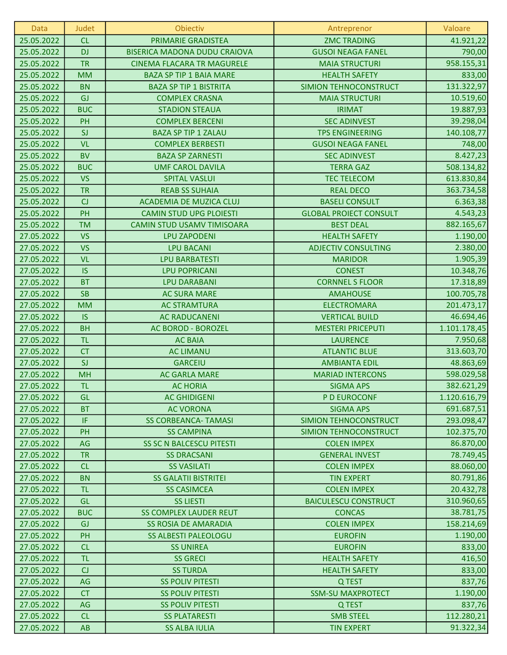| 25.05.2022<br>CL<br>PRIMARIE GRADISTEA<br><b>ZMC TRADING</b><br>25.05.2022<br><b>DJ</b><br><b>BISERICA MADONA DUDU CRAIOVA</b><br><b>GUSOI NEAGA FANEL</b><br><b>TR</b><br>25.05.2022<br><b>CINEMA FLACARA TR MAGURELE</b><br><b>MAIA STRUCTURI</b><br>25.05.2022<br><b>MM</b><br><b>BAZA SP TIP 1 BAIA MARE</b><br><b>HEALTH SAFETY</b> | 41.921,22<br>790,00<br>958.155,31<br>833,00<br>131.322,97 |
|------------------------------------------------------------------------------------------------------------------------------------------------------------------------------------------------------------------------------------------------------------------------------------------------------------------------------------------|-----------------------------------------------------------|
|                                                                                                                                                                                                                                                                                                                                          |                                                           |
|                                                                                                                                                                                                                                                                                                                                          |                                                           |
|                                                                                                                                                                                                                                                                                                                                          |                                                           |
|                                                                                                                                                                                                                                                                                                                                          |                                                           |
| 25.05.2022<br><b>BN</b><br><b>BAZA SP TIP 1 BISTRITA</b><br>SIMION TEHNOCONSTRUCT                                                                                                                                                                                                                                                        |                                                           |
| GJ<br>25.05.2022<br><b>COMPLEX CRASNA</b><br><b>MAIA STRUCTURI</b>                                                                                                                                                                                                                                                                       | 10.519,60                                                 |
| <b>BUC</b><br>25.05.2022<br><b>IRIMAT</b><br><b>STADION STEAUA</b>                                                                                                                                                                                                                                                                       | 19.887,93                                                 |
| PH<br>25.05.2022<br><b>COMPLEX BERCENI</b><br><b>SEC ADINVEST</b>                                                                                                                                                                                                                                                                        | 39.298,04                                                 |
| SJ<br>25.05.2022<br><b>BAZA SP TIP 1 ZALAU</b><br><b>TPS ENGINEERING</b>                                                                                                                                                                                                                                                                 | 140.108,77                                                |
| <b>VL</b><br>25.05.2022<br><b>COMPLEX BERBESTI</b><br><b>GUSOI NEAGA FANEL</b>                                                                                                                                                                                                                                                           | 748,00                                                    |
| <b>BV</b><br><b>BAZA SP ZARNESTI</b><br>25.05.2022<br><b>SEC ADINVEST</b>                                                                                                                                                                                                                                                                | 8.427,23                                                  |
| <b>BUC</b><br>25.05.2022<br><b>UMF CAROL DAVILA</b><br><b>TERRA GAZ</b>                                                                                                                                                                                                                                                                  | 508.134,82                                                |
| <b>VS</b><br>25.05.2022<br><b>SPITAL VASLUI</b><br><b>TEC TELECOM</b>                                                                                                                                                                                                                                                                    | 613.830,84                                                |
| <b>TR</b><br>25.05.2022<br><b>REAB SS SUHAIA</b><br><b>REAL DECO</b>                                                                                                                                                                                                                                                                     | 363.734,58                                                |
| CJ<br>25.05.2022<br><b>ACADEMIA DE MUZICA CLUJ</b><br><b>BASELI CONSULT</b>                                                                                                                                                                                                                                                              | 6.363,38                                                  |
| PH<br>25.05.2022<br><b>CAMIN STUD UPG PLOIESTI</b><br><b>GLOBAL PROIECT CONSULT</b>                                                                                                                                                                                                                                                      | 4.543,23                                                  |
| <b>TM</b><br>25.05.2022<br>CAMIN STUD USAMV TIMISOARA<br><b>BEST DEAL</b>                                                                                                                                                                                                                                                                | 882.165,67                                                |
| <b>VS</b><br>27.05.2022<br><b>HEALTH SAFETY</b><br><b>LPU ZAPODENI</b>                                                                                                                                                                                                                                                                   | 1.190,00                                                  |
| <b>VS</b><br>27.05.2022<br><b>LPU BACANI</b><br><b>ADJECTIV CONSULTING</b>                                                                                                                                                                                                                                                               | 2.380,00                                                  |
| <b>VL</b><br>27.05.2022<br><b>LPU BARBATESTI</b><br><b>MARIDOR</b>                                                                                                                                                                                                                                                                       | 1.905,39                                                  |
| <b>IS</b><br>27.05.2022<br><b>LPU POPRICANI</b><br><b>CONEST</b>                                                                                                                                                                                                                                                                         | 10.348,76                                                 |
| <b>BT</b><br><b>LPU DARABANI</b><br><b>CORNNEL S FLOOR</b><br>27.05.2022                                                                                                                                                                                                                                                                 | 17.318,89                                                 |
| <b>SB</b><br>27.05.2022<br><b>AC SURA MARE</b><br><b>AMAHOUSE</b>                                                                                                                                                                                                                                                                        | 100.705,78                                                |
| <b>MM</b><br><b>AC STRAMTURA</b><br><b>ELECTROMARA</b><br>27.05.2022                                                                                                                                                                                                                                                                     | 201.473,17                                                |
| 27.05.2022<br><b>IS</b><br><b>AC RADUCANENI</b><br><b>VERTICAL BUILD</b>                                                                                                                                                                                                                                                                 | 46.694,46                                                 |
| 27.05.2022<br><b>BH</b><br>AC BOROD - BOROZEL<br><b>MESTERI PRICEPUTI</b>                                                                                                                                                                                                                                                                | 1.101.178,45                                              |
| <b>TL</b><br>27.05.2022<br><b>LAURENCE</b><br><b>AC BAIA</b>                                                                                                                                                                                                                                                                             | 7.950,68                                                  |
| <b>CT</b><br>27.05.2022<br><b>AC LIMANU</b><br><b>ATLANTIC BLUE</b>                                                                                                                                                                                                                                                                      | 313.603,70                                                |
| SJ<br>27.05.2022<br><b>GARCEIU</b><br><b>AMBIANTA EDIL</b>                                                                                                                                                                                                                                                                               | 48.863,69                                                 |
| 27.05.2022<br><b>MH</b><br><b>AC GARLA MARE</b><br><b>MARIAD INTERCONS</b>                                                                                                                                                                                                                                                               | 598.029,58                                                |
| <b>TL</b><br>27.05.2022<br><b>AC HORIA</b><br><b>SIGMA APS</b>                                                                                                                                                                                                                                                                           | 382.621,29                                                |
| 27.05.2022<br><b>AC GHIDIGENI</b><br>GL<br>P D EUROCONF                                                                                                                                                                                                                                                                                  | 1.120.616,79                                              |
| 27.05.2022<br><b>BT</b><br><b>AC VORONA</b><br><b>SIGMA APS</b>                                                                                                                                                                                                                                                                          | 691.687,51                                                |
| IF<br>27.05.2022<br><b>SS CORBEANCA- TAMASI</b><br>SIMION TEHNOCONSTRUCT                                                                                                                                                                                                                                                                 | 293.098,47                                                |
| 27.05.2022<br>PH<br><b>SS CAMPINA</b><br>SIMION TEHNOCONSTRUCT                                                                                                                                                                                                                                                                           | 102.375,70                                                |
| 27.05.2022<br><b>SS SC N BALCESCU PITESTI</b><br><b>COLEN IMPEX</b><br>AG                                                                                                                                                                                                                                                                | 86.870,00                                                 |
| 27.05.2022<br><b>TR</b><br><b>SS DRACSANI</b><br><b>GENERAL INVEST</b>                                                                                                                                                                                                                                                                   | 78.749,45                                                 |
| 27.05.2022<br>CL<br><b>SS VASILATI</b><br><b>COLEN IMPEX</b>                                                                                                                                                                                                                                                                             | 88.060,00                                                 |
| <b>BN</b><br>27.05.2022<br><b>SS GALATII BISTRITEI</b><br><b>TIN EXPERT</b>                                                                                                                                                                                                                                                              | 80.791,86                                                 |
| 27.05.2022<br><b>TL</b><br><b>COLEN IMPEX</b><br><b>SS CASIMCEA</b><br>GL<br><b>BAICULESCU CONSTRUCT</b>                                                                                                                                                                                                                                 | 20.432,78<br>310.960,65                                   |
| 27.05.2022<br><b>SS LIESTI</b><br><b>SS COMPLEX LAUDER REUT</b>                                                                                                                                                                                                                                                                          |                                                           |
| 27.05.2022<br><b>BUC</b><br><b>CONCAS</b><br>27.05.2022<br><b>COLEN IMPEX</b><br><b>GJ</b><br><b>SS ROSIA DE AMARADIA</b>                                                                                                                                                                                                                | 38.781,75<br>158.214,69                                   |
| 27.05.2022<br>PH<br><b>SS ALBESTI PALEOLOGU</b><br><b>EUROFIN</b>                                                                                                                                                                                                                                                                        | 1.190,00                                                  |
| CL<br>27.05.2022<br><b>EUROFIN</b><br><b>SS UNIREA</b>                                                                                                                                                                                                                                                                                   | 833,00                                                    |
| 27.05.2022<br><b>TL</b><br><b>SS GRECI</b><br><b>HEALTH SAFETY</b>                                                                                                                                                                                                                                                                       | 416,50                                                    |
| 27.05.2022<br>CJ<br><b>SS TURDA</b><br><b>HEALTH SAFETY</b>                                                                                                                                                                                                                                                                              | 833,00                                                    |
| 27.05.2022<br>AG<br><b>SS POLIV PITESTI</b><br>Q TEST                                                                                                                                                                                                                                                                                    | 837,76                                                    |
| 27.05.2022<br><b>CT</b><br><b>SS POLIV PITESTI</b><br><b>SSM-SU MAXPROTECT</b>                                                                                                                                                                                                                                                           | 1.190,00                                                  |
| 27.05.2022<br>AG<br><b>SS POLIV PITESTI</b><br>Q TEST                                                                                                                                                                                                                                                                                    | 837,76                                                    |
| CL<br>27.05.2022<br><b>SS PLATARESTI</b><br><b>SMB STEEL</b>                                                                                                                                                                                                                                                                             | 112.280,21                                                |
| 27.05.2022<br><b>SS ALBA IULIA</b><br><b>TIN EXPERT</b><br><b>AB</b>                                                                                                                                                                                                                                                                     | 91.322,34                                                 |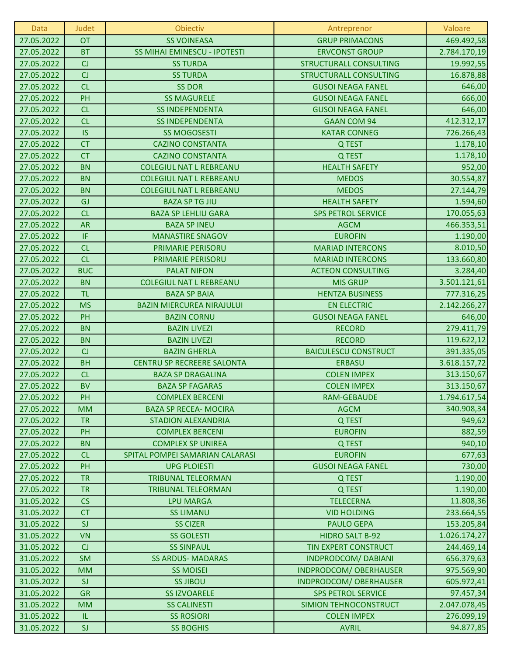| <b>Data</b> | Judet      | Obiectiv                            | Antreprenor                   | Valoare      |
|-------------|------------|-------------------------------------|-------------------------------|--------------|
| 27.05.2022  | <b>OT</b>  | <b>SS VOINEASA</b>                  | <b>GRUP PRIMACONS</b>         | 469.492,58   |
| 27.05.2022  | <b>BT</b>  | <b>SS MIHAI EMINESCU - IPOTESTI</b> | <b>ERVCONST GROUP</b>         | 2.784.170,19 |
| 27.05.2022  | CJ         | <b>SS TURDA</b>                     | <b>STRUCTURALL CONSULTING</b> | 19.992,55    |
| 27.05.2022  | CJ         | <b>SS TURDA</b>                     | <b>STRUCTURALL CONSULTING</b> | 16.878,88    |
| 27.05.2022  | CL         | <b>SS DOR</b>                       | <b>GUSOI NEAGA FANEL</b>      | 646,00       |
| 27.05.2022  | PH         | <b>SS MAGURELE</b>                  | <b>GUSOI NEAGA FANEL</b>      | 666,00       |
| 27.05.2022  | CL         | <b>SS INDEPENDENTA</b>              | <b>GUSOI NEAGA FANEL</b>      | 646,00       |
| 27.05.2022  | CL         | <b>SS INDEPENDENTA</b>              | <b>GAAN COM 94</b>            | 412.312,17   |
| 27.05.2022  | <b>IS</b>  | <b>SS MOGOSESTI</b>                 | <b>KATAR CONNEG</b>           | 726.266,43   |
| 27.05.2022  | <b>CT</b>  | <b>CAZINO CONSTANTA</b>             | Q TEST                        | 1.178,10     |
| 27.05.2022  | <b>CT</b>  | <b>CAZINO CONSTANTA</b>             | Q TEST                        | 1.178,10     |
| 27.05.2022  | <b>BN</b>  | <b>COLEGIUL NAT L REBREANU</b>      | <b>HEALTH SAFETY</b>          | 952,00       |
| 27.05.2022  | <b>BN</b>  | <b>COLEGIUL NAT L REBREANU</b>      | <b>MEDOS</b>                  | 30.554,87    |
| 27.05.2022  | <b>BN</b>  | <b>COLEGIUL NAT L REBREANU</b>      | <b>MEDOS</b>                  | 27.144,79    |
| 27.05.2022  | GJ         | <b>BAZA SP TG JIU</b>               | <b>HEALTH SAFETY</b>          | 1.594,60     |
| 27.05.2022  | CL         | <b>BAZA SP LEHLIU GARA</b>          | <b>SPS PETROL SERVICE</b>     | 170.055,63   |
| 27.05.2022  | <b>AR</b>  | <b>BAZA SP INEU</b>                 | <b>AGCM</b>                   | 466.353,51   |
| 27.05.2022  | IF.        | <b>MANASTIRE SNAGOV</b>             | <b>EUROFIN</b>                | 1.190,00     |
| 27.05.2022  | CL         | PRIMARIE PERISORU                   | <b>MARIAD INTERCONS</b>       | 8.010,50     |
| 27.05.2022  | CL         | PRIMARIE PERISORU                   | <b>MARIAD INTERCONS</b>       | 133.660,80   |
| 27.05.2022  | <b>BUC</b> | <b>PALAT NIFON</b>                  | <b>ACTEON CONSULTING</b>      | 3.284,40     |
| 27.05.2022  | <b>BN</b>  | <b>COLEGIUL NAT L REBREANU</b>      | <b>MIS GRUP</b>               | 3.501.121,61 |
| 27.05.2022  | <b>TL</b>  | <b>BAZA SP BAIA</b>                 | <b>HENTZA BUSINESS</b>        | 777.316,25   |
| 27.05.2022  | <b>MS</b>  | <b>BAZIN MIERCUREA NIRAJULUI</b>    | <b>EN ELECTRIC</b>            | 2.142.266,27 |
| 27.05.2022  | PH         | <b>BAZIN CORNU</b>                  | <b>GUSOI NEAGA FANEL</b>      | 646,00       |
| 27.05.2022  | <b>BN</b>  | <b>BAZIN LIVEZI</b>                 | <b>RECORD</b>                 | 279.411,79   |
| 27.05.2022  | <b>BN</b>  | <b>BAZIN LIVEZI</b>                 | <b>RECORD</b>                 | 119.622,12   |
| 27.05.2022  | CJ         | <b>BAZIN GHERLA</b>                 | <b>BAICULESCU CONSTRUCT</b>   | 391.335,05   |
| 27.05.2022  | <b>BH</b>  | <b>CENTRU SP RECREERE SALONTA</b>   | <b>ERBASU</b>                 | 3.618.157,72 |
| 27.05.2022  | CL         | <b>BAZA SP DRAGALINA</b>            | <b>COLEN IMPEX</b>            | 313.150,67   |
| 27.05.2022  | <b>BV</b>  | <b>BAZA SP FAGARAS</b>              | <b>COLEN IMPEX</b>            | 313.150,67   |
| 27.05.2022  | PH         | <b>COMPLEX BERCENI</b>              | RAM-GEBAUDE                   | 1.794.617,54 |
| 27.05.2022  | <b>MM</b>  | <b>BAZA SP RECEA- MOCIRA</b>        | <b>AGCM</b>                   | 340.908,34   |
| 27.05.2022  | <b>TR</b>  | <b>STADION ALEXANDRIA</b>           | Q TEST                        | 949,62       |
| 27.05.2022  | PH         | <b>COMPLEX BERCENI</b>              | <b>EUROFIN</b>                | 882,59       |
| 27.05.2022  | <b>BN</b>  | <b>COMPLEX SP UNIREA</b>            | Q TEST                        | 940,10       |
| 27.05.2022  | CL         | SPITAL POMPEI SAMARIAN CALARASI     | <b>EUROFIN</b>                | 677,63       |
| 27.05.2022  | PH         | <b>UPG PLOIESTI</b>                 | <b>GUSOI NEAGA FANEL</b>      | 730,00       |
| 27.05.2022  | <b>TR</b>  | <b>TRIBUNAL TELEORMAN</b>           | Q TEST                        | 1.190,00     |
| 27.05.2022  | <b>TR</b>  | <b>TRIBUNAL TELEORMAN</b>           | Q TEST                        | 1.190,00     |
| 31.05.2022  | CS         | <b>LPU MARGA</b>                    | <b>TELECERNA</b>              | 11.808,36    |
| 31.05.2022  | <b>CT</b>  | <b>SS LIMANU</b>                    | <b>VID HOLDING</b>            | 233.664,55   |
| 31.05.2022  | SI         | <b>SS CIZER</b>                     | <b>PAULO GEPA</b>             | 153.205,84   |
| 31.05.2022  | <b>VN</b>  | <b>SS GOLESTI</b>                   | <b>HIDRO SALT B-92</b>        | 1.026.174,27 |
| 31.05.2022  | CJ         | <b>SS SINPAUL</b>                   | TIN EXPERT CONSTRUCT          | 244.469,14   |
| 31.05.2022  | <b>SM</b>  | <b>SS ARDUS- MADARAS</b>            | <b>INDPRODCOM/ DABIANI</b>    | 656.379,63   |
| 31.05.2022  | <b>MM</b>  | <b>SS MOISEI</b>                    | INDPRODCOM/ OBERHAUSER        | 975.569,90   |
| 31.05.2022  | SI         | <b>SS JIBOU</b>                     | INDPRODCOM/ OBERHAUSER        | 605.972,41   |
| 31.05.2022  | <b>GR</b>  | <b>SS IZVOARELE</b>                 | <b>SPS PETROL SERVICE</b>     | 97.457,34    |
| 31.05.2022  | <b>MM</b>  | <b>SS CALINESTI</b>                 | SIMION TEHNOCONSTRUCT         | 2.047.078,45 |
| 31.05.2022  | IL.        | <b>SS ROSIORI</b>                   | <b>COLEN IMPEX</b>            | 276.099,19   |
| 31.05.2022  | SI         | <b>SS BOGHIS</b>                    | <b>AVRIL</b>                  | 94.877,85    |